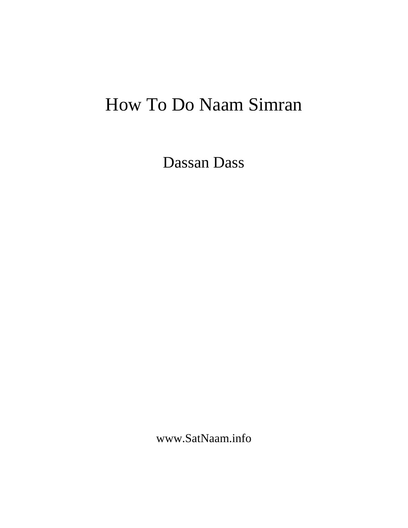# How To Do Naam Simran

Dassan Dass

www.SatNaam.info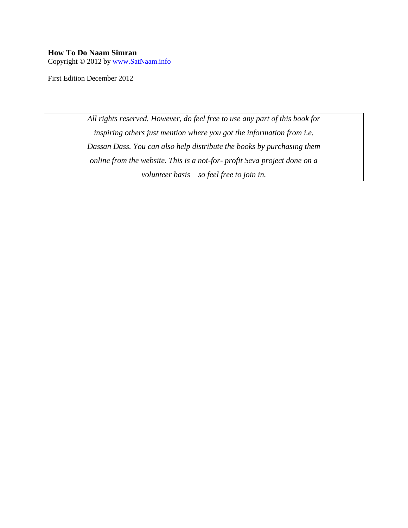#### **How To Do Naam Simran**

Copyright © 2012 by [www.SatNaam.info](http://www.satnaam.info/)

First Edition December 2012

*All rights reserved. However, do feel free to use any part of this book for inspiring others just mention where you got the information from i.e. Dassan Dass. You can also help distribute the books by purchasing them online from the website. This is a not-for- profit Seva project done on a volunteer basis – so feel free to join in.*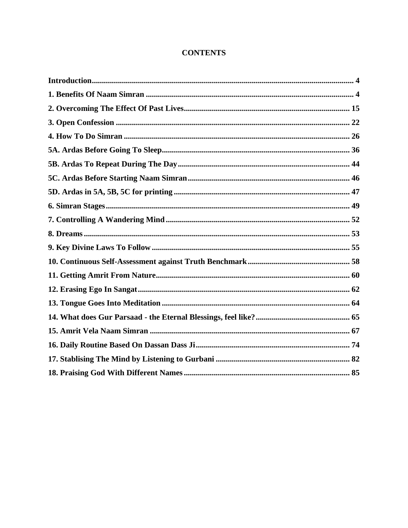# **CONTENTS**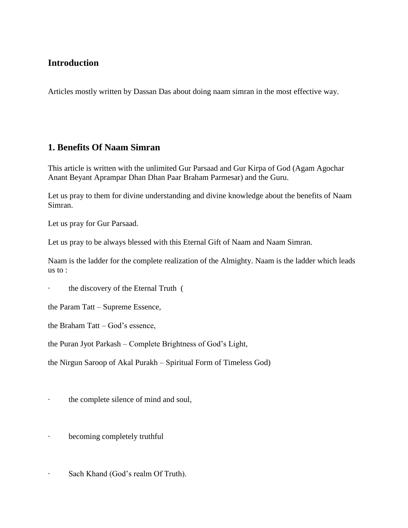# <span id="page-3-0"></span>**Introduction**

Articles mostly written by Dassan Das about doing naam simran in the most effective way.

# <span id="page-3-1"></span>**1. Benefits Of Naam Simran**

This article is written with the unlimited Gur Parsaad and Gur Kirpa of God (Agam Agochar Anant Beyant Aprampar Dhan Dhan Paar Braham Parmesar) and the Guru.

Let us pray to them for divine understanding and divine knowledge about the benefits of Naam Simran.

Let us pray for Gur Parsaad.

Let us pray to be always blessed with this Eternal Gift of Naam and Naam Simran.

Naam is the ladder for the complete realization of the Almighty. Naam is the ladder which leads us to :

the discovery of the Eternal Truth (

the Param Tatt – Supreme Essence,

the Braham Tatt – God's essence,

the Puran Jyot Parkash – Complete Brightness of God's Light,

the Nirgun Saroop of Akal Purakh – Spiritual Form of Timeless God)

· the complete silence of mind and soul,

- becoming completely truthful
- · Sach Khand (God's realm Of Truth).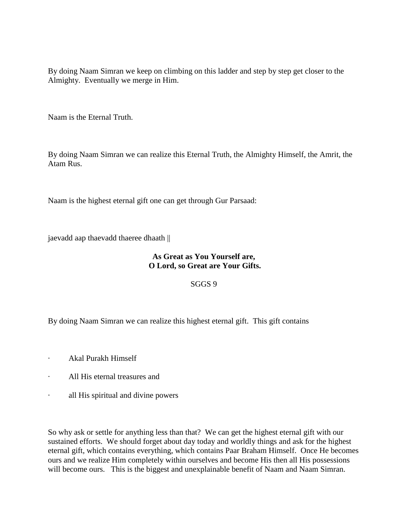By doing Naam Simran we keep on climbing on this ladder and step by step get closer to the Almighty. Eventually we merge in Him.

Naam is the Eternal Truth.

By doing Naam Simran we can realize this Eternal Truth, the Almighty Himself, the Amrit, the Atam Rus.

Naam is the highest eternal gift one can get through Gur Parsaad:

jaevadd aap thaevadd thaeree dhaath ||

## **As Great as You Yourself are, O Lord, so Great are Your Gifts.**

SGGS 9

By doing Naam Simran we can realize this highest eternal gift. This gift contains

- · Akal Purakh Himself
- · All His eternal treasures and
- · all His spiritual and divine powers

So why ask or settle for anything less than that? We can get the highest eternal gift with our sustained efforts. We should forget about day today and worldly things and ask for the highest eternal gift, which contains everything, which contains Paar Braham Himself. Once He becomes ours and we realize Him completely within ourselves and become His then all His possessions will become ours. This is the biggest and unexplainable benefit of Naam and Naam Simran.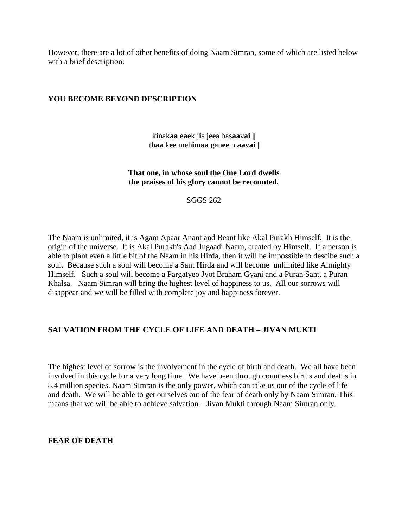However, there are a lot of other benefits of doing Naam Simran, some of which are listed below with a brief description:

## **YOU BECOME BEYOND DESCRIPTION**

k**i**nak**aa** e**ae**k j**i**s j**ee**a bas**aa**v**ai** || th**aa** k**ee** meh**i**m**aa** gan**ee** n **aa**v**ai** ||

## **That one, in whose soul the One Lord dwells the praises of his glory cannot be recounted.**

SGGS 262

The Naam is unlimited, it is Agam Apaar Anant and Beant like Akal Purakh Himself. It is the origin of the universe. It is Akal Purakh's Aad Jugaadi Naam, created by Himself. If a person is able to plant even a little bit of the Naam in his Hirda, then it will be impossible to descibe such a soul. Because such a soul will become a Sant Hirda and will become unlimited like Almighty Himself. Such a soul will become a Pargatyeo Jyot Braham Gyani and a Puran Sant, a Puran Khalsa. Naam Simran will bring the highest level of happiness to us. All our sorrows will disappear and we will be filled with complete joy and happiness forever.

## **SALVATION FROM THE CYCLE OF LIFE AND DEATH – JIVAN MUKTI**

The highest level of sorrow is the involvement in the cycle of birth and death. We all have been involved in this cycle for a very long time. We have been through countless births and deaths in 8.4 million species. Naam Simran is the only power, which can take us out of the cycle of life and death. We will be able to get ourselves out of the fear of death only by Naam Simran. This means that we will be able to achieve salvation – Jivan Mukti through Naam Simran only.

**FEAR OF DEATH**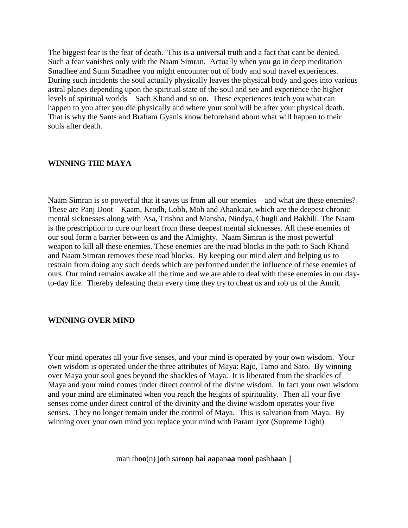The biggest fear is the fear of death. This is a universal truth and a fact that cant be denied. Such a fear vanishes only with the Naam Simran. Actually when you go in deep meditation – Smadhee and Sunn Smadhee you might encounter out of body and soul travel experiences. During such incidents the soul actually physically leaves the physical body and goes into various astral planes depending upon the spiritual state of the soul and see and experience the higher levels of spiritual worlds – Sach Khand and so on. These experiences teach you what can happen to you after you die physically and where your soul will be after your physical death. That is why the Sants and Braham Gyanis know beforehand about what will happen to their souls after death.

#### **WINNING THE MAYA**

Naam Simran is so powerful that it saves us from all our enemies – and what are these enemies? These are Panj Doot – Kaam, Krodh, Lobh, Moh and Ahankaar, which are the deepest chronic mental sicknesses along with Asa, Trishna and Mansha, Nindya, Chugli and Bakhili. The Naam is the prescription to cure our heart from these deepest mental sicknesses. All these enemies of our soul form a barrier between us and the Almighty. Naam Simran is the most powerful weapon to kill all these enemies. These enemies are the road blocks in the path to Sach Khand and Naam Simran removes these road blocks. By keeping our mind alert and helping us to restrain from doing any such deeds which are performed under the influence of these enemies of ours. Our mind remains awake all the time and we are able to deal with these enemies in our dayto-day life. Thereby defeating them every time they try to cheat us and rob us of the Amrit.

#### **WINNING OVER MIND**

Your mind operates all your five senses, and your mind is operated by your own wisdom. Your own wisdom is operated under the three attributes of Maya: Rajo, Tamo and Sato. By winning over Maya your soul goes beyond the shackles of Maya. It is liberated from the shackles of Maya and your mind comes under direct control of the divine wisdom. In fact your own wisdom and your mind are eliminated when you reach the heights of spirituality. Then all your five senses come under direct control of the divinity and the divine wisdom operates your five senses. They no longer remain under the control of Maya. This is salvation from Maya. By winning over your own mind you replace your mind with Param Jyot (Supreme Light)

man th**oo**(n) j**o**th sar**oo**p h**ai aa**pan**aa** m**oo**l pashh**aa**n ||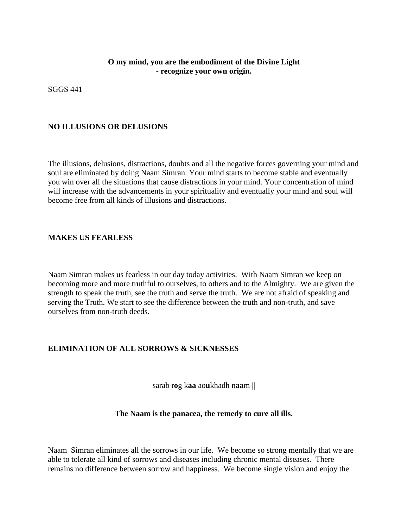## **O my mind, you are the embodiment of the Divine Light - recognize your own origin.**

SGGS 441

## **NO ILLUSIONS OR DELUSIONS**

The illusions, delusions, distractions, doubts and all the negative forces governing your mind and soul are eliminated by doing Naam Simran. Your mind starts to become stable and eventually you win over all the situations that cause distractions in your mind. Your concentration of mind will increase with the advancements in your spirituality and eventually your mind and soul will become free from all kinds of illusions and distractions.

## **MAKES US FEARLESS**

Naam Simran makes us fearless in our day today activities. With Naam Simran we keep on becoming more and more truthful to ourselves, to others and to the Almighty. We are given the strength to speak the truth, see the truth and serve the truth. We are not afraid of speaking and serving the Truth. We start to see the difference between the truth and non-truth, and save ourselves from non-truth deeds.

## **ELIMINATION OF ALL SORROWS & SICKNESSES**

sarab r**o**g k**aa** ao**u**khadh n**aa**m ||

#### **The Naam is the panacea, the remedy to cure all ills.**

Naam Simran eliminates all the sorrows in our life. We become so strong mentally that we are able to tolerate all kind of sorrows and diseases including chronic mental diseases. There remains no difference between sorrow and happiness. We become single vision and enjoy the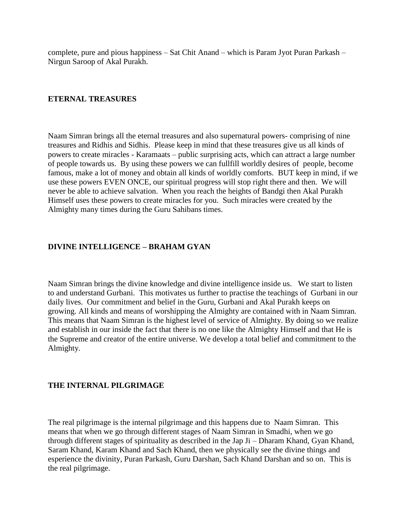complete, pure and pious happiness – Sat Chit Anand – which is Param Jyot Puran Parkash – Nirgun Saroop of Akal Purakh.

### **ETERNAL TREASURES**

Naam Simran brings all the eternal treasures and also supernatural powers- comprising of nine treasures and Ridhis and Sidhis. Please keep in mind that these treasures give us all kinds of powers to create miracles - Karamaats – public surprising acts, which can attract a large number of people towards us. By using these powers we can fullfill worldly desires of people, become famous, make a lot of money and obtain all kinds of worldly comforts. BUT keep in mind, if we use these powers EVEN ONCE, our spiritual progress will stop right there and then. We will never be able to achieve salvation. When you reach the heights of Bandgi then Akal Purakh Himself uses these powers to create miracles for you. Such miracles were created by the Almighty many times during the Guru Sahibans times.

## **DIVINE INTELLIGENCE – BRAHAM GYAN**

Naam Simran brings the divine knowledge and divine intelligence inside us. We start to listen to and understand Gurbani. This motivates us further to practise the teachings of Gurbani in our daily lives. Our commitment and belief in the Guru, Gurbani and Akal Purakh keeps on growing. All kinds and means of worshipping the Almighty are contained with in Naam Simran. This means that Naam Simran is the highest level of service of Almighty. By doing so we realize and establish in our inside the fact that there is no one like the Almighty Himself and that He is the Supreme and creator of the entire universe. We develop a total belief and commitment to the Almighty.

#### **THE INTERNAL PILGRIMAGE**

The real pilgrimage is the internal pilgrimage and this happens due to Naam Simran. This means that when we go through different stages of Naam Simran in Smadhi, when we go through different stages of spirituality as described in the Jap Ji – Dharam Khand, Gyan Khand, Saram Khand, Karam Khand and Sach Khand, then we physically see the divine things and esperience the divinity, Puran Parkash, Guru Darshan, Sach Khand Darshan and so on. This is the real pilgrimage.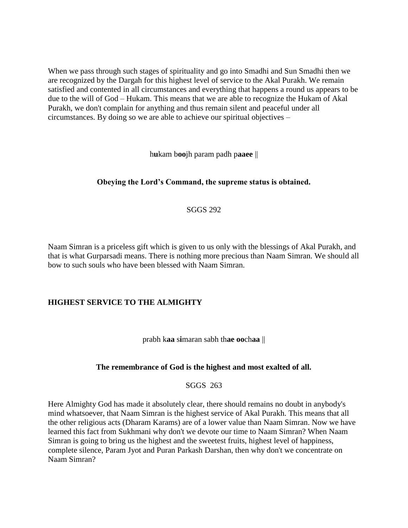When we pass through such stages of spirituality and go into Smadhi and Sun Smadhi then we are recognized by the Dargah for this highest level of service to the Akal Purakh. We remain satisfied and contented in all circumstances and everything that happens a round us appears to be due to the will of God – Hukam. This means that we are able to recognize the Hukam of Akal Purakh, we don't complain for anything and thus remain silent and peaceful under all circumstances. By doing so we are able to achieve our spiritual objectives –

h**u**kam b**oo**jh param padh p**aaee** ||

## **Obeying the Lord's Command, the supreme status is obtained.**

### SGGS 292

Naam Simran is a priceless gift which is given to us only with the blessings of Akal Purakh, and that is what Gurparsadi means. There is nothing more precious than Naam Simran. We should all bow to such souls who have been blessed with Naam Simran.

#### **HIGHEST SERVICE TO THE ALMIGHTY**

prabh k**aa** s**i**maran sabh th**ae oo**ch**aa** ||

#### **The remembrance of God is the highest and most exalted of all.**

SGGS 263

Here Almighty God has made it absolutely clear, there should remains no doubt in anybody's mind whatsoever, that Naam Simran is the highest service of Akal Purakh. This means that all the other religious acts (Dharam Karams) are of a lower value than Naam Simran. Now we have learned this fact from Sukhmani why don't we devote our time to Naam Simran? When Naam Simran is going to bring us the highest and the sweetest fruits, highest level of happiness, complete silence, Param Jyot and Puran Parkash Darshan, then why don't we concentrate on Naam Simran?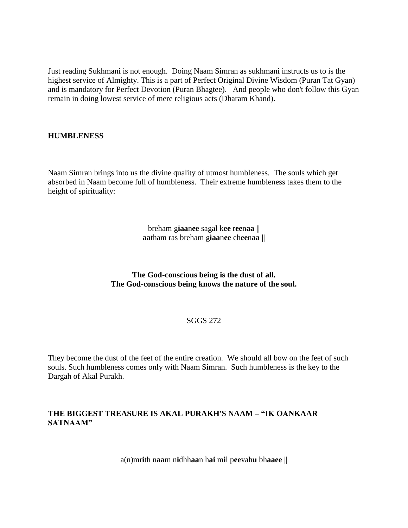Just reading Sukhmani is not enough. Doing Naam Simran as sukhmani instructs us to is the highest service of Almighty. This is a part of Perfect Original Divine Wisdom (Puran Tat Gyan) and is mandatory for Perfect Devotion (Puran Bhagtee). And people who don't follow this Gyan remain in doing lowest service of mere religious acts (Dharam Khand).

#### **HUMBLENESS**

Naam Simran brings into us the divine quality of utmost humbleness. The souls which get absorbed in Naam become full of humbleness. Their extreme humbleness takes them to the height of spirituality:

> breham g**iaa**n**ee** sagal k**ee** r**ee**n**aa** || **aa**tham ras breham g**iaa**n**ee** ch**ee**n**aa** ||

**The God-conscious being is the dust of all. The God-conscious being knows the nature of the soul.**

#### SGGS 272

They become the dust of the feet of the entire creation. We should all bow on the feet of such souls. Such humbleness comes only with Naam Simran. Such humbleness is the key to the Dargah of Akal Purakh.

## **THE BIGGEST TREASURE IS AKAL PURAKH'S NAAM – "IK OANKAAR SATNAAM"**

a(n)mr**i**th n**aa**m n**i**dhh**aa**n h**ai** m**i**l p**ee**vah**u** bh**aaee** ||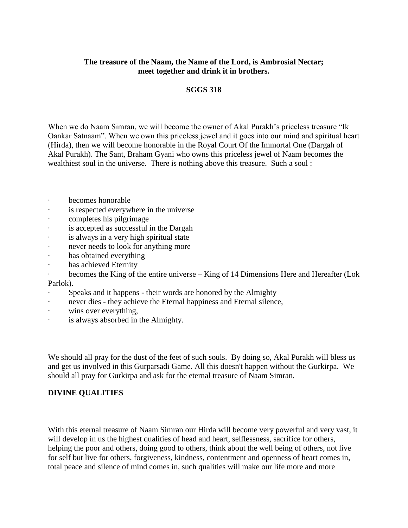## **The treasure of the Naam, the Name of the Lord, is Ambrosial Nectar; meet together and drink it in brothers.**

#### **SGGS 318**

When we do Naam Simran, we will become the owner of Akal Purakh's priceless treasure "Ik Oankar Satnaam". When we own this priceless jewel and it goes into our mind and spiritual heart (Hirda), then we will become honorable in the Royal Court Of the Immortal One (Dargah of Akal Purakh). The Sant, Braham Gyani who owns this priceless jewel of Naam becomes the wealthiest soul in the universe. There is nothing above this treasure. Such a soul :

- · becomes honorable
- is respected everywhere in the universe
- completes his pilgrimage
- · is accepted as successful in the Dargah
- · is always in a very high spiritual state
- never needs to look for anything more
- · has obtained everything
- · has achieved Eternity
- becomes the King of the entire universe King of 14 Dimensions Here and Hereafter (Lok Parlok).
- Speaks and it happens their words are honored by the Almighty
- never dies they achieve the Eternal happiness and Eternal silence,
- · wins over everything,
- · is always absorbed in the Almighty.

We should all pray for the dust of the feet of such souls. By doing so, Akal Purakh will bless us and get us involved in this Gurparsadi Game. All this doesn't happen without the Gurkirpa. We should all pray for Gurkirpa and ask for the eternal treasure of Naam Simran.

## **DIVINE QUALITIES**

With this eternal treasure of Naam Simran our Hirda will become very powerful and very vast, it will develop in us the highest qualities of head and heart, selflessness, sacrifice for others, helping the poor and others, doing good to others, think about the well being of others, not live for self but live for others, forgiveness, kindness, contentment and openness of heart comes in, total peace and silence of mind comes in, such qualities will make our life more and more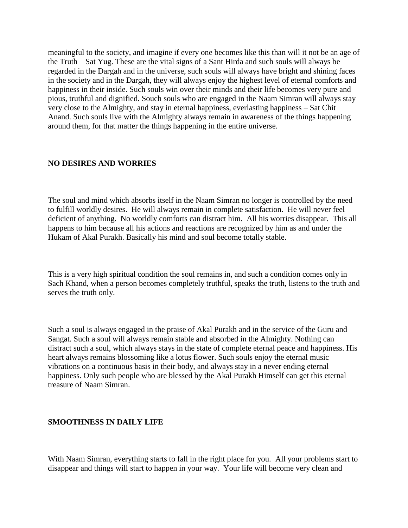meaningful to the society, and imagine if every one becomes like this than will it not be an age of the Truth – Sat Yug. These are the vital signs of a Sant Hirda and such souls will always be regarded in the Dargah and in the universe, such souls will always have bright and shining faces in the society and in the Dargah, they will always enjoy the highest level of eternal comforts and happiness in their inside. Such souls win over their minds and their life becomes very pure and pious, truthful and dignified. Souch souls who are engaged in the Naam Simran will always stay very close to the Almighty, and stay in eternal happiness, everlasting happiness – Sat Chit Anand. Such souls live with the Almighty always remain in awareness of the things happening around them, for that matter the things happening in the entire universe.

## **NO DESIRES AND WORRIES**

The soul and mind which absorbs itself in the Naam Simran no longer is controlled by the need to fulfill worldly desires. He will always remain in complete satisfaction. He will never feel deficient of anything. No worldly comforts can distract him. All his worries disappear. This all happens to him because all his actions and reactions are recognized by him as and under the Hukam of Akal Purakh. Basically his mind and soul become totally stable.

This is a very high spiritual condition the soul remains in, and such a condition comes only in Sach Khand, when a person becomes completely truthful, speaks the truth, listens to the truth and serves the truth only.

Such a soul is always engaged in the praise of Akal Purakh and in the service of the Guru and Sangat. Such a soul will always remain stable and absorbed in the Almighty. Nothing can distract such a soul, which always stays in the state of complete eternal peace and happiness. His heart always remains blossoming like a lotus flower. Such souls enjoy the eternal music vibrations on a continuous basis in their body, and always stay in a never ending eternal happiness. Only such people who are blessed by the Akal Purakh Himself can get this eternal treasure of Naam Simran.

## **SMOOTHNESS IN DAILY LIFE**

With Naam Simran, everything starts to fall in the right place for you. All your problems start to disappear and things will start to happen in your way. Your life will become very clean and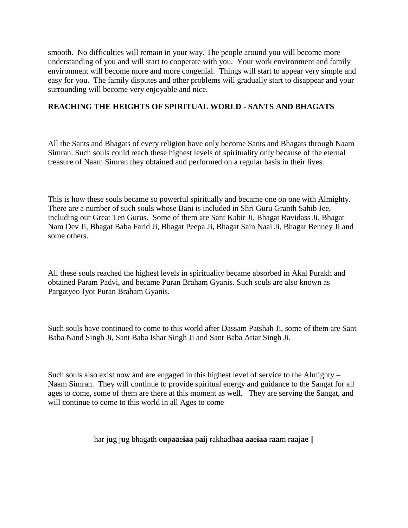smooth. No difficulties will remain in your way. The people around you will become more understanding of you and will start to cooperate with you. Your work environment and family environment will become more and more congenial. Things will start to appear very simple and easy for you. The family disputes and other problems will gradually start to disappear and your surrounding will become very enjoyable and nice.

## **REACHING THE HEIGHTS OF SPIRITUAL WORLD - SANTS AND BHAGATS**

All the Sants and Bhagats of every religion have only become Sants and Bhagats through Naam Simran. Such souls could reach these highest levels of spirituality only because of the eternal treasure of Naam Simran they obtained and performed on a regular basis in their lives.

This is how these souls became so powerful spiritually and became one on one with Almighty. There are a number of such souls whose Bani is included in Shri Guru Granth Sahib Jee, including our Great Ten Gurus. Some of them are Sant Kabir Ji, Bhagat Ravidass Ji, Bhagat Nam Dev Ji, Bhagat Baba Farid Ji, Bhagat Peepa Ji, Bhagat Sain Naai Ji, Bhagat Benney Ji and some others.

All these souls reached the highest levels in spirituality became absorbed in Akal Purakh and obtained Param Padvi, and became Puran Braham Gyanis. Such souls are also known as Pargatyeo Jyot Puran Braham Gyanis.

Such souls have continued to come to this world after Dassam Patshah Ji, some of them are Sant Baba Nand Singh Ji, Sant Baba Ishar Singh Ji and Sant Baba Attar Singh Ji.

Such souls also exist now and are engaged in this highest level of service to the Almighty – Naam Simran. They will continue to provide spiritual energy and guidance to the Sangat for all ages to come, some of them are there at this moment as well. They are serving the Sangat, and will continue to come to this world in all Ages to come

har j**u**g j**u**g bhagath o**u**p**aa**e**iaa** p**ai**j rakhadh**aa aa**e**iaa** r**aa**m r**aa**j**ae** ||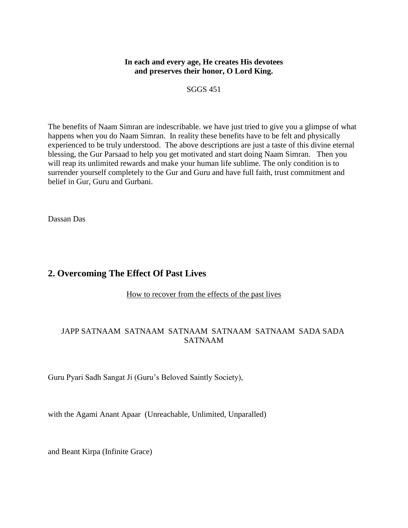## **In each and every age, He creates His devotees and preserves their honor, O Lord King.**

SGGS 451

The benefits of Naam Simran are indescribable. we have just tried to give you a glimpse of what happens when you do Naam Simran. In reality these benefits have to be felt and physically experienced to be truly understood. The above descriptions are just a taste of this divine eternal blessing, the Gur Parsaad to help you get motivated and start doing Naam Simran. Then you will reap its unlimited rewards and make your human life sublime. The only condition is to surrender yourself completely to the Gur and Guru and have full faith, trust commitment and belief in Gur, Guru and Gurbani.

Dassan Das

# <span id="page-14-0"></span>**2. Overcoming The Effect Of Past Lives**

How to recover from the effects of the past lives

## JAPP SATNAAM SATNAAM SATNAAM SATNAAM SATNAAM SADA SADA SATNAAM

Guru Pyari Sadh Sangat Ji (Guru's Beloved Saintly Society),

with the Agami Anant Apaar (Unreachable, Unlimited, Unparalled)

and Beant Kirpa (Infinite Grace)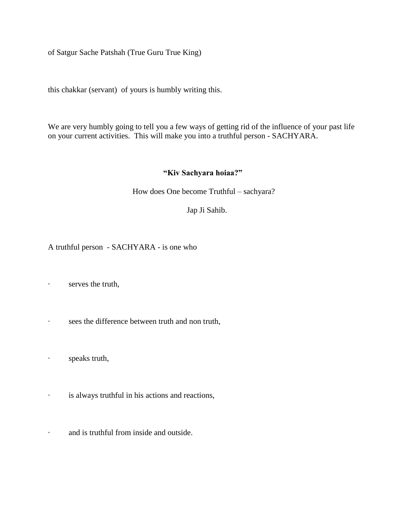of Satgur Sache Patshah (True Guru True King)

this chakkar (servant) of yours is humbly writing this.

We are very humbly going to tell you a few ways of getting rid of the influence of your past life on your current activities. This will make you into a truthful person - SACHYARA.

#### **"Kiv Sachyara hoiaa?"**

How does One become Truthful – sachyara?

Jap Ji Sahib.

A truthful person - SACHYARA - is one who

- · serves the truth,
- · sees the difference between truth and non truth,
- · speaks truth,
- · is always truthful in his actions and reactions,
- · and is truthful from inside and outside.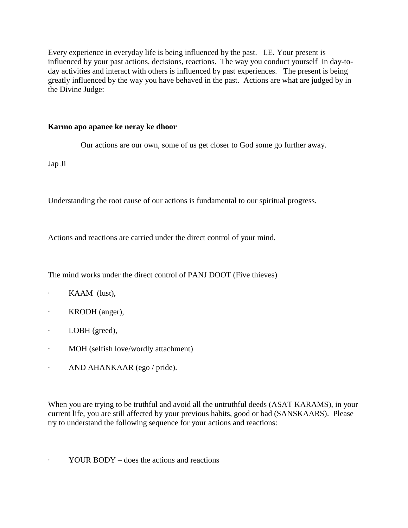Every experience in everyday life is being influenced by the past. I.E. Your present is influenced by your past actions, decisions, reactions. The way you conduct yourself in day-today activities and interact with others is influenced by past experiences. The present is being greatly influenced by the way you have behaved in the past. Actions are what are judged by in the Divine Judge:

## **Karmo apo apanee ke neray ke dhoor**

Our actions are our own, some of us get closer to God some go further away.

Jap Ji

Understanding the root cause of our actions is fundamental to our spiritual progress.

Actions and reactions are carried under the direct control of your mind.

The mind works under the direct control of PANJ DOOT (Five thieves)

- · KAAM (lust),
- · KRODH (anger),
- · LOBH (greed),
- · MOH (selfish love/wordly attachment)
- · AND AHANKAAR (ego / pride).

When you are trying to be truthful and avoid all the untruthful deeds (ASAT KARAMS), in your current life, you are still affected by your previous habits, good or bad (SANSKAARS). Please try to understand the following sequence for your actions and reactions:

YOUR BODY – does the actions and reactions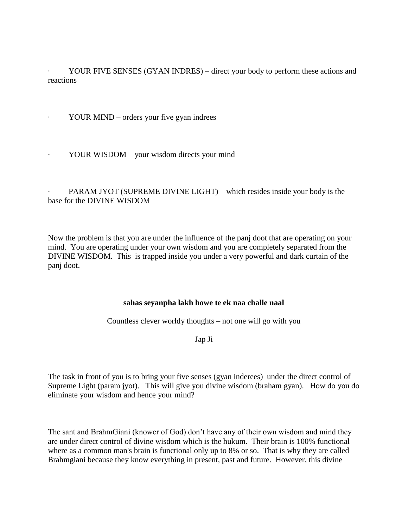YOUR FIVE SENSES (GYAN INDRES) – direct your body to perform these actions and reactions

· YOUR MIND – orders your five gyan indrees

YOUR WISDOM – your wisdom directs your mind

## PARAM JYOT (SUPREME DIVINE LIGHT) – which resides inside your body is the base for the DIVINE WISDOM

Now the problem is that you are under the influence of the panj doot that are operating on your mind. You are operating under your own wisdom and you are completely separated from the DIVINE WISDOM. This is trapped inside you under a very powerful and dark curtain of the panj doot.

#### **sahas seyanpha lakh howe te ek naa challe naal**

Countless clever worldy thoughts – not one will go with you

Jap Ji

The task in front of you is to bring your five senses (gyan inderees) under the direct control of Supreme Light (param jyot). This will give you divine wisdom (braham gyan). How do you do eliminate your wisdom and hence your mind?

The sant and BrahmGiani (knower of God) don't have any of their own wisdom and mind they are under direct control of divine wisdom which is the hukum. Their brain is 100% functional where as a common man's brain is functional only up to 8% or so. That is why they are called Brahmgiani because they know everything in present, past and future. However, this divine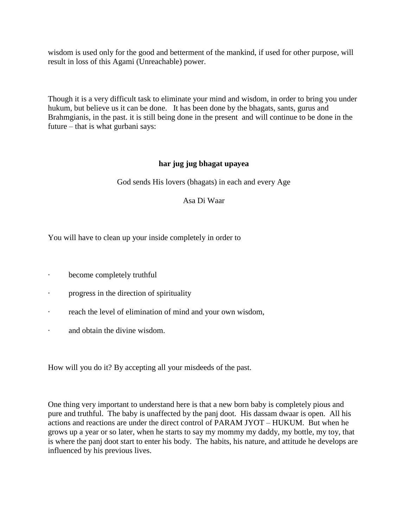wisdom is used only for the good and betterment of the mankind, if used for other purpose, will result in loss of this Agami (Unreachable) power.

Though it is a very difficult task to eliminate your mind and wisdom, in order to bring you under hukum, but believe us it can be done. It has been done by the bhagats, sants, gurus and Brahmgianis, in the past. it is still being done in the present and will continue to be done in the future – that is what gurbani says:

## **har jug jug bhagat upayea**

God sends His lovers (bhagats) in each and every Age

Asa Di Waar

You will have to clean up your inside completely in order to

- · become completely truthful
- · progress in the direction of spirituality
- · reach the level of elimination of mind and your own wisdom,
- · and obtain the divine wisdom.

How will you do it? By accepting all your misdeeds of the past.

One thing very important to understand here is that a new born baby is completely pious and pure and truthful. The baby is unaffected by the panj doot. His dassam dwaar is open. All his actions and reactions are under the direct control of PARAM JYOT – HUKUM. But when he grows up a year or so later, when he starts to say my mommy my daddy, my bottle, my toy, that is where the panj doot start to enter his body. The habits, his nature, and attitude he develops are influenced by his previous lives.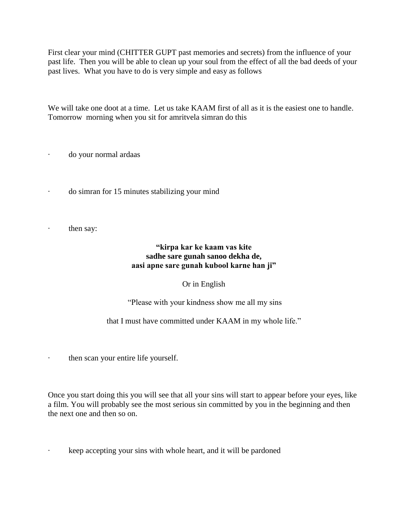First clear your mind (CHITTER GUPT past memories and secrets) from the influence of your past life. Then you will be able to clean up your soul from the effect of all the bad deeds of your past lives. What you have to do is very simple and easy as follows

We will take one doot at a time. Let us take KAAM first of all as it is the easiest one to handle. Tomorrow morning when you sit for amritvela simran do this

do your normal ardaas

- · do simran for 15 minutes stabilizing your mind
- · then say:

## **"kirpa kar ke kaam vas kite sadhe sare gunah sanoo dekha de, aasi apne sare gunah kubool karne han ji"**

#### Or in English

"Please with your kindness show me all my sins

that I must have committed under KAAM in my whole life."

· then scan your entire life yourself.

Once you start doing this you will see that all your sins will start to appear before your eyes, like a film. You will probably see the most serious sin committed by you in the beginning and then the next one and then so on.

keep accepting your sins with whole heart, and it will be pardoned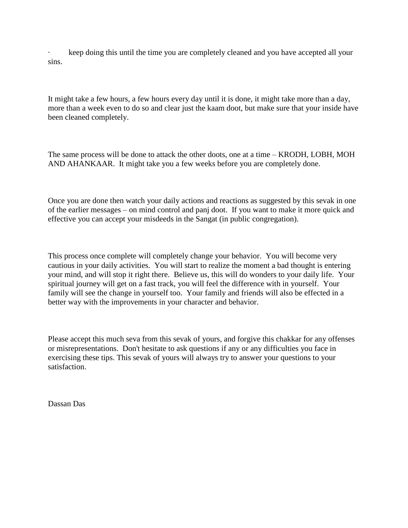· keep doing this until the time you are completely cleaned and you have accepted all your sins.

It might take a few hours, a few hours every day until it is done, it might take more than a day, more than a week even to do so and clear just the kaam doot, but make sure that your inside have been cleaned completely.

The same process will be done to attack the other doots, one at a time – KRODH, LOBH, MOH AND AHANKAAR. It might take you a few weeks before you are completely done.

Once you are done then watch your daily actions and reactions as suggested by this sevak in one of the earlier messages – on mind control and panj doot. If you want to make it more quick and effective you can accept your misdeeds in the Sangat (in public congregation).

This process once complete will completely change your behavior. You will become very cautious in your daily activities. You will start to realize the moment a bad thought is entering your mind, and will stop it right there. Believe us, this will do wonders to your daily life. Your spiritual journey will get on a fast track, you will feel the difference with in yourself. Your family will see the change in yourself too. Your family and friends will also be effected in a better way with the improvements in your character and behavior.

Please accept this much seva from this sevak of yours, and forgive this chakkar for any offenses or misrepresentations. Don't hesitate to ask questions if any or any difficulties you face in exercising these tips. This sevak of yours will always try to answer your questions to your satisfaction.

Dassan Das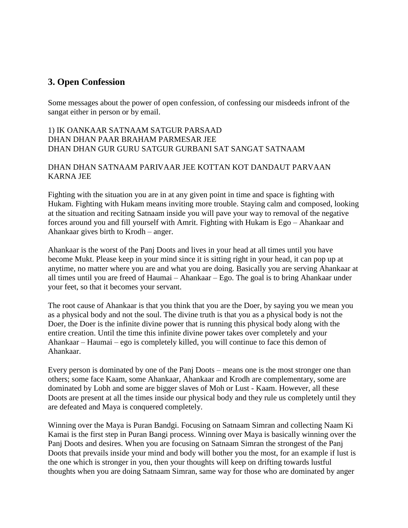# <span id="page-21-0"></span>**3. Open Confession**

Some messages about the power of open confession, of confessing our misdeeds infront of the sangat either in person or by email.

## 1) IK OANKAAR SATNAAM SATGUR PARSAAD DHAN DHAN PAAR BRAHAM PARMESAR JEE DHAN DHAN GUR GURU SATGUR GURBANI SAT SANGAT SATNAAM

## DHAN DHAN SATNAAM PARIVAAR JEE KOTTAN KOT DANDAUT PARVAAN KARNA JEE

Fighting with the situation you are in at any given point in time and space is fighting with Hukam. Fighting with Hukam means inviting more trouble. Staying calm and composed, looking at the situation and reciting Satnaam inside you will pave your way to removal of the negative forces around you and fill yourself with Amrit. Fighting with Hukam is Ego – Ahankaar and Ahankaar gives birth to Krodh – anger.

Ahankaar is the worst of the Panj Doots and lives in your head at all times until you have become Mukt. Please keep in your mind since it is sitting right in your head, it can pop up at anytime, no matter where you are and what you are doing. Basically you are serving Ahankaar at all times until you are freed of Haumai – Ahankaar – Ego. The goal is to bring Ahankaar under your feet, so that it becomes your servant.

The root cause of Ahankaar is that you think that you are the Doer, by saying you we mean you as a physical body and not the soul. The divine truth is that you as a physical body is not the Doer, the Doer is the infinite divine power that is running this physical body along with the entire creation. Until the time this infinite divine power takes over completely and your Ahankaar – Haumai – ego is completely killed, you will continue to face this demon of Ahankaar.

Every person is dominated by one of the Panj Doots – means one is the most stronger one than others; some face Kaam, some Ahankaar, Ahankaar and Krodh are complementary, some are dominated by Lobh and some are bigger slaves of Moh or Lust - Kaam. However, all these Doots are present at all the times inside our physical body and they rule us completely until they are defeated and Maya is conquered completely.

Winning over the Maya is Puran Bandgi. Focusing on Satnaam Simran and collecting Naam Ki Kamai is the first step in Puran Bangi process. Winning over Maya is basically winning over the Panj Doots and desires. When you are focusing on Satnaam Simran the strongest of the Panj Doots that prevails inside your mind and body will bother you the most, for an example if lust is the one which is stronger in you, then your thoughts will keep on drifting towards lustful thoughts when you are doing Satnaam Simran, same way for those who are dominated by anger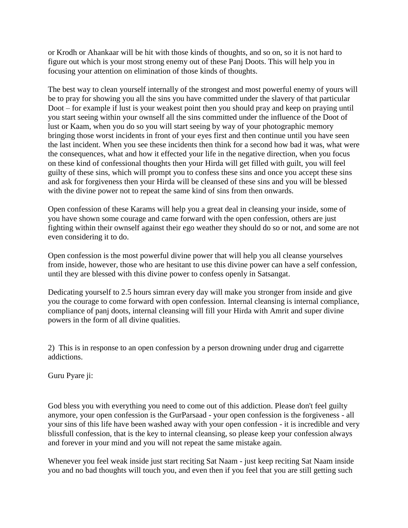or Krodh or Ahankaar will be hit with those kinds of thoughts, and so on, so it is not hard to figure out which is your most strong enemy out of these Panj Doots. This will help you in focusing your attention on elimination of those kinds of thoughts.

The best way to clean yourself internally of the strongest and most powerful enemy of yours will be to pray for showing you all the sins you have committed under the slavery of that particular Doot – for example if lust is your weakest point then you should pray and keep on praying until you start seeing within your ownself all the sins committed under the influence of the Doot of lust or Kaam, when you do so you will start seeing by way of your photographic memory bringing those worst incidents in front of your eyes first and then continue until you have seen the last incident. When you see these incidents then think for a second how bad it was, what were the consequences, what and how it effected your life in the negative direction, when you focus on these kind of confessional thoughts then your Hirda will get filled with guilt, you will feel guilty of these sins, which will prompt you to confess these sins and once you accept these sins and ask for forgiveness then your Hirda will be cleansed of these sins and you will be blessed with the divine power not to repeat the same kind of sins from then onwards.

Open confession of these Karams will help you a great deal in cleansing your inside, some of you have shown some courage and came forward with the open confession, others are just fighting within their ownself against their ego weather they should do so or not, and some are not even considering it to do.

Open confession is the most powerful divine power that will help you all cleanse yourselves from inside, however, those who are hesitant to use this divine power can have a self confession, until they are blessed with this divine power to confess openly in Satsangat.

Dedicating yourself to 2.5 hours simran every day will make you stronger from inside and give you the courage to come forward with open confession. Internal cleansing is internal compliance, compliance of panj doots, internal cleansing will fill your Hirda with Amrit and super divine powers in the form of all divine qualities.

2) This is in response to an open confession by a person drowning under drug and cigarrette addictions.

Guru Pyare ji:

God bless you with everything you need to come out of this addiction. Please don't feel guilty anymore, your open confession is the GurParsaad - your open confession is the forgiveness - all your sins of this life have been washed away with your open confession - it is incredible and very blissfull confession, that is the key to internal cleansing, so please keep your confession always and forever in your mind and you will not repeat the same mistake again.

Whenever you feel weak inside just start reciting Sat Naam - just keep reciting Sat Naam inside you and no bad thoughts will touch you, and even then if you feel that you are still getting such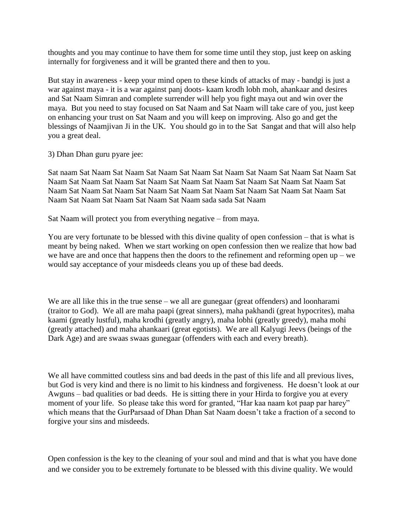thoughts and you may continue to have them for some time until they stop, just keep on asking internally for forgiveness and it will be granted there and then to you.

But stay in awareness - keep your mind open to these kinds of attacks of may - bandgi is just a war against maya - it is a war against panj doots- kaam krodh lobh moh, ahankaar and desires and Sat Naam Simran and complete surrender will help you fight maya out and win over the maya. But you need to stay focused on Sat Naam and Sat Naam will take care of you, just keep on enhancing your trust on Sat Naam and you will keep on improving. Also go and get the blessings of Naamjivan Ji in the UK. You should go in to the Sat Sangat and that will also help you a great deal.

#### 3) Dhan Dhan guru pyare jee:

Sat naam Sat Naam Sat Naam Sat Naam Sat Naam Sat Naam Sat Naam Sat Naam Sat Naam Sat Naam Sat Naam Sat Naam Sat Naam Sat Naam Sat Naam Sat Naam Sat Naam Sat Naam Sat Naam Sat Naam Sat Naam Sat Naam Sat Naam Sat Naam Sat Naam Sat Naam Sat Naam Sat Naam Sat Naam Sat Naam Sat Naam Sat Naam sada sada Sat Naam

Sat Naam will protect you from everything negative – from maya.

You are very fortunate to be blessed with this divine quality of open confession – that is what is meant by being naked. When we start working on open confession then we realize that how bad we have are and once that happens then the doors to the refinement and reforming open up – we would say acceptance of your misdeeds cleans you up of these bad deeds.

We are all like this in the true sense – we all are gunegaar (great offenders) and loonharami (traitor to God). We all are maha paapi (great sinners), maha pakhandi (great hypocrites), maha kaami (greatly lustful), maha krodhi (greatly angry), maha lobhi (greatly greedy), maha mohi (greatly attached) and maha ahankaari (great egotists). We are all Kalyugi Jeevs (beings of the Dark Age) and are swaas swaas gunegaar (offenders with each and every breath).

We all have committed coutless sins and bad deeds in the past of this life and all previous lives, but God is very kind and there is no limit to his kindness and forgiveness. He doesn't look at our Awguns – bad qualities or bad deeds. He is sitting there in your Hirda to forgive you at every moment of your life. So please take this word for granted, "Har kaa naam kot paap par harey" which means that the GurParsaad of Dhan Dhan Sat Naam doesn't take a fraction of a second to forgive your sins and misdeeds.

Open confession is the key to the cleaning of your soul and mind and that is what you have done and we consider you to be extremely fortunate to be blessed with this divine quality. We would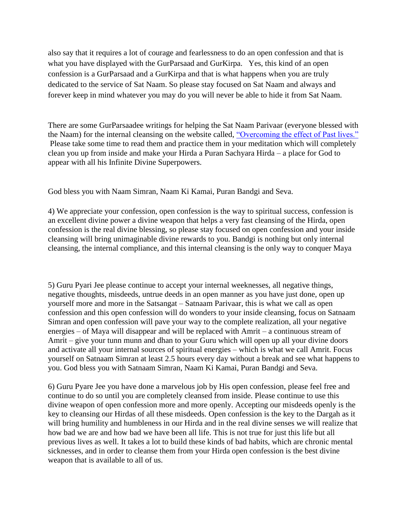also say that it requires a lot of courage and fearlessness to do an open confession and that is what you have displayed with the GurParsaad and GurKirpa. Yes, this kind of an open confession is a GurParsaad and a GurKirpa and that is what happens when you are truly dedicated to the service of Sat Naam. So please stay focused on Sat Naam and always and forever keep in mind whatever you may do you will never be able to hide it from Sat Naam.

There are some GurParsaadee writings for helping the Sat Naam Parivaar (everyone blessed with the Naam) for the internal cleansing on the website called, ["Overcoming the effect of Past lives."](http://satnaam.info/index.php?option=com_content&task=view&id=63&Itemid=14)  Please take some time to read them and practice them in your meditation which will completely clean you up from inside and make your Hirda a Puran Sachyara Hirda – a place for God to appear with all his Infinite Divine Superpowers.

God bless you with Naam Simran, Naam Ki Kamai, Puran Bandgi and Seva.

4) We appreciate your confession, open confession is the way to spiritual success, confession is an excellent divine power a divine weapon that helps a very fast cleansing of the Hirda, open confession is the real divine blessing, so please stay focused on open confession and your inside cleansing will bring unimaginable divine rewards to you. Bandgi is nothing but only internal cleansing, the internal compliance, and this internal cleansing is the only way to conquer Maya

5) Guru Pyari Jee please continue to accept your internal weeknesses, all negative things, negative thoughts, misdeeds, untrue deeds in an open manner as you have just done, open up yourself more and more in the Satsangat – Satnaam Parivaar, this is what we call as open confession and this open confession will do wonders to your inside cleansing, focus on Satnaam Simran and open confession will pave your way to the complete realization, all your negative energies – of Maya will disappear and will be replaced with Amrit – a continuous stream of Amrit – give your tunn munn and dhan to your Guru which will open up all your divine doors and activate all your internal sources of spiritual energies – which is what we call Amrit. Focus yourself on Satnaam Simran at least 2.5 hours every day without a break and see what happens to you. God bless you with Satnaam Simran, Naam Ki Kamai, Puran Bandgi and Seva.

6) Guru Pyare Jee you have done a marvelous job by His open confession, please feel free and continue to do so until you are completely cleansed from inside. Please continue to use this divine weapon of open confession more and more openly. Accepting our misdeeds openly is the key to cleansing our Hirdas of all these misdeeds. Open confession is the key to the Dargah as it will bring humility and humbleness in our Hirda and in the real divine senses we will realize that how bad we are and how bad we have been all life. This is not true for just this life but all previous lives as well. It takes a lot to build these kinds of bad habits, which are chronic mental sicknesses, and in order to cleanse them from your Hirda open confession is the best divine weapon that is available to all of us.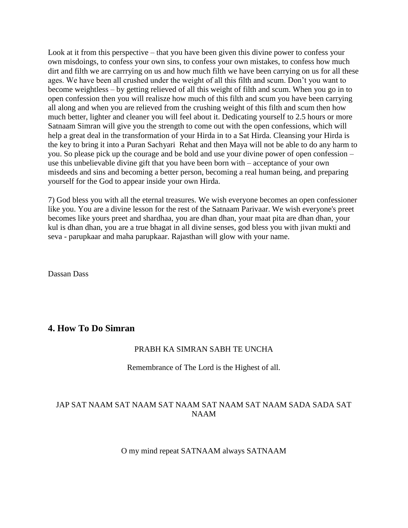Look at it from this perspective – that you have been given this divine power to confess your own misdoings, to confess your own sins, to confess your own mistakes, to confess how much dirt and filth we are carrrying on us and how much filth we have been carrying on us for all these ages. We have been all crushed under the weight of all this filth and scum. Don't you want to become weightless – by getting relieved of all this weight of filth and scum. When you go in to open confession then you will realisze how much of this filth and scum you have been carrying all along and when you are relieved from the crushing weight of this filth and scum then how much better, lighter and cleaner you will feel about it. Dedicating yourself to 2.5 hours or more Satnaam Simran will give you the strength to come out with the open confessions, which will help a great deal in the transformation of your Hirda in to a Sat Hirda. Cleansing your Hirda is the key to bring it into a Puran Sachyari Rehat and then Maya will not be able to do any harm to you. So please pick up the courage and be bold and use your divine power of open confession – use this unbelievable divine gift that you have been born with – acceptance of your own misdeeds and sins and becoming a better person, becoming a real human being, and preparing yourself for the God to appear inside your own Hirda.

7) God bless you with all the eternal treasures. We wish everyone becomes an open confessioner like you. You are a divine lesson for the rest of the Satnaam Parivaar. We wish everyone's preet becomes like yours preet and shardhaa, you are dhan dhan, your maat pita are dhan dhan, your kul is dhan dhan, you are a true bhagat in all divine senses, god bless you with jivan mukti and seva - parupkaar and maha parupkaar. Rajasthan will glow with your name.

Dassan Dass

## <span id="page-25-0"></span>**4. How To Do Simran**

#### PRABH KA SIMRAN SABH TE UNCHA

#### Remembrance of The Lord is the Highest of all.

## JAP SAT NAAM SAT NAAM SAT NAAM SAT NAAM SAT NAAM SADA SADA SAT NAAM

O my mind repeat SATNAAM always SATNAAM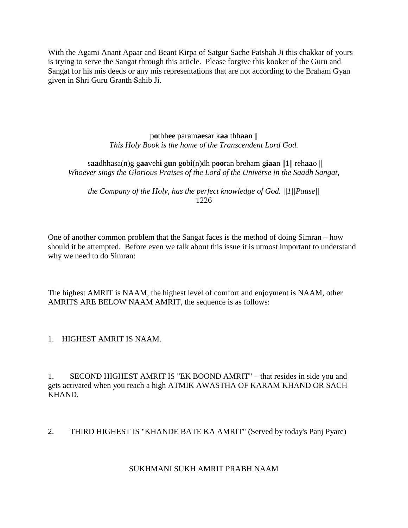With the Agami Anant Apaar and Beant Kirpa of Satgur Sache Patshah Ji this chakkar of yours is trying to serve the Sangat through this article. Please forgive this kooker of the Guru and Sangat for his mis deeds or any mis representations that are not according to the Braham Gyan given in Shri Guru Granth Sahib Ji.

> p**o**thh**ee** param**ae**sar k**aa** thh**aa**n || *This Holy Book is the home of the Transcendent Lord God.*

s**aa**dhhasa(n)g g**aa**veh**i** g**u**n g**o**b**i**(n)dh p**oo**ran breham g**iaa**n ||1|| reh**aa**o || *Whoever sings the Glorious Praises of the Lord of the Universe in the Saadh Sangat,* 

*the Company of the Holy, has the perfect knowledge of God. ||1||Pause||* 1226

One of another common problem that the Sangat faces is the method of doing Simran – how should it be attempted. Before even we talk about this issue it is utmost important to understand why we need to do Simran:

The highest AMRIT is NAAM, the highest level of comfort and enjoyment is NAAM, other AMRITS ARE BELOW NAAM AMRIT, the sequence is as follows:

1. HIGHEST AMRIT IS NAAM.

1. SECOND HIGHEST AMRIT IS "EK BOOND AMRIT" – that resides in side you and gets activated when you reach a high ATMIK AWASTHA OF KARAM KHAND OR SACH KHAND.

2. THIRD HIGHEST IS "KHANDE BATE KA AMRIT" (Served by today's Panj Pyare)

#### SUKHMANI SUKH AMRIT PRABH NAAM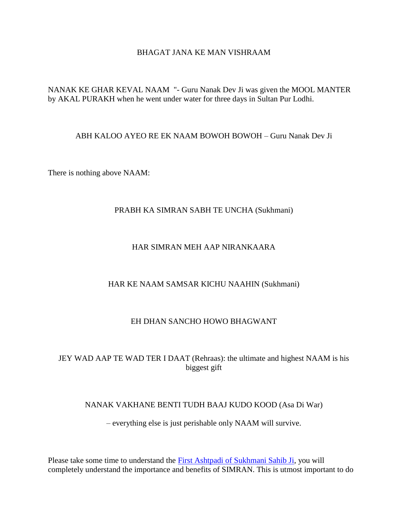## BHAGAT JANA KE MAN VISHRAAM

NANAK KE GHAR KEVAL NAAM "- Guru Nanak Dev Ji was given the MOOL MANTER by AKAL PURAKH when he went under water for three days in Sultan Pur Lodhi.

#### ABH KALOO AYEO RE EK NAAM BOWOH BOWOH – Guru Nanak Dev Ji

There is nothing above NAAM:

#### PRABH KA SIMRAN SABH TE UNCHA (Sukhmani)

## HAR SIMRAN MEH AAP NIRANKAARA

#### HAR KE NAAM SAMSAR KICHU NAAHIN (Sukhmani)

#### EH DHAN SANCHO HOWO BHAGWANT

## JEY WAD AAP TE WAD TER I DAAT (Rehraas): the ultimate and highest NAAM is his biggest gift

#### NANAK VAKHANE BENTI TUDH BAAJ KUDO KOOD (Asa Di War)

– everything else is just perishable only NAAM will survive.

Please take some time to understand the [First Ashtpadi of Sukhmani Sahib Ji,](http://satnaam.info/index.php?option=com_content&task=view&id=241&Itemid=31) you will completely understand the importance and benefits of SIMRAN. This is utmost important to do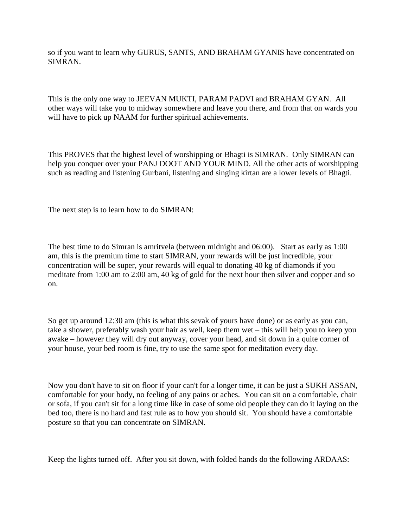so if you want to learn why GURUS, SANTS, AND BRAHAM GYANIS have concentrated on SIMRAN.

This is the only one way to JEEVAN MUKTI, PARAM PADVI and BRAHAM GYAN. All other ways will take you to midway somewhere and leave you there, and from that on wards you will have to pick up NAAM for further spiritual achievements.

This PROVES that the highest level of worshipping or Bhagti is SIMRAN. Only SIMRAN can help you conquer over your PANJ DOOT AND YOUR MIND. All the other acts of worshipping such as reading and listening Gurbani, listening and singing kirtan are a lower levels of Bhagti.

The next step is to learn how to do SIMRAN:

The best time to do Simran is amritvela (between midnight and 06:00). Start as early as 1:00 am, this is the premium time to start SIMRAN, your rewards will be just incredible, your concentration will be super, your rewards will equal to donating 40 kg of diamonds if you meditate from 1:00 am to 2:00 am, 40 kg of gold for the next hour then silver and copper and so on.

So get up around 12:30 am (this is what this sevak of yours have done) or as early as you can, take a shower, preferably wash your hair as well, keep them wet – this will help you to keep you awake – however they will dry out anyway, cover your head, and sit down in a quite corner of your house, your bed room is fine, try to use the same spot for meditation every day.

Now you don't have to sit on floor if your can't for a longer time, it can be just a SUKH ASSAN, comfortable for your body, no feeling of any pains or aches. You can sit on a comfortable, chair or sofa, if you can't sit for a long time like in case of some old people they can do it laying on the bed too, there is no hard and fast rule as to how you should sit. You should have a comfortable posture so that you can concentrate on SIMRAN.

Keep the lights turned off. After you sit down, with folded hands do the following ARDAAS: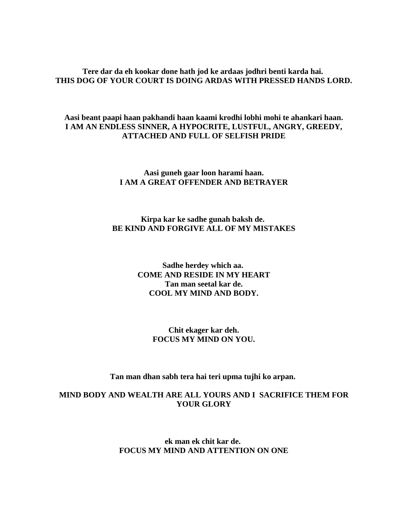### **Tere dar da eh kookar done hath jod ke ardaas jodhri benti karda hai. THIS DOG OF YOUR COURT IS DOING ARDAS WITH PRESSED HANDS LORD.**

## **Aasi beant paapi haan pakhandi haan kaami krodhi lobhi mohi te ahankari haan. I AM AN ENDLESS SINNER, A HYPOCRITE, LUSTFUL, ANGRY, GREEDY, ATTACHED AND FULL OF SELFISH PRIDE**

### **Aasi guneh gaar loon harami haan. I AM A GREAT OFFENDER AND BETRAYER**

#### **Kirpa kar ke sadhe gunah baksh de. BE KIND AND FORGIVE ALL OF MY MISTAKES**

## **Sadhe herdey which aa. COME AND RESIDE IN MY HEART Tan man seetal kar de. COOL MY MIND AND BODY.**

#### **Chit ekager kar deh. FOCUS MY MIND ON YOU.**

#### **Tan man dhan sabh tera hai teri upma tujhi ko arpan.**

## **MIND BODY AND WEALTH ARE ALL YOURS AND I SACRIFICE THEM FOR YOUR GLORY**

### **ek man ek chit kar de. FOCUS MY MIND AND ATTENTION ON ONE**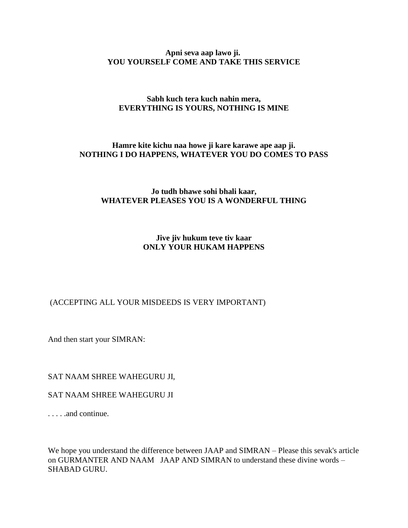#### **Apni seva aap lawo ji. YOU YOURSELF COME AND TAKE THIS SERVICE**

## **Sabh kuch tera kuch nahin mera, EVERYTHING IS YOURS, NOTHING IS MINE**

### **Hamre kite kichu naa howe ji kare karawe ape aap ji. NOTHING I DO HAPPENS, WHATEVER YOU DO COMES TO PASS**

## **Jo tudh bhawe sohi bhali kaar, WHATEVER PLEASES YOU IS A WONDERFUL THING**

## **Jive jiv hukum teve tiv kaar ONLY YOUR HUKAM HAPPENS**

## (ACCEPTING ALL YOUR MISDEEDS IS VERY IMPORTANT)

And then start your SIMRAN:

SAT NAAM SHREE WAHEGURU JI,

#### SAT NAAM SHREE WAHEGURU JI

. . . . .and continue.

We hope you understand the difference between JAAP and SIMRAN – Please this sevak's article on GURMANTER AND NAAM JAAP AND SIMRAN to understand these divine words – SHABAD GURU.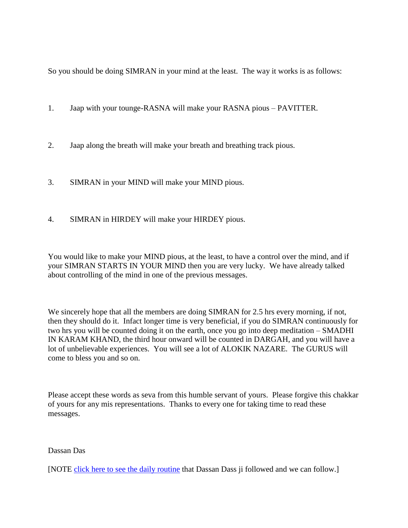So you should be doing SIMRAN in your mind at the least. The way it works is as follows:

- 1. Jaap with your tounge-RASNA will make your RASNA pious PAVITTER.
- 2. Jaap along the breath will make your breath and breathing track pious.
- 3. SIMRAN in your MIND will make your MIND pious.
- 4. SIMRAN in HIRDEY will make your HIRDEY pious.

You would like to make your MIND pious, at the least, to have a control over the mind, and if your SIMRAN STARTS IN YOUR MIND then you are very lucky. We have already talked about controlling of the mind in one of the previous messages.

We sincerely hope that all the members are doing SIMRAN for 2.5 hrs every morning, if not, then they should do it. Infact longer time is very beneficial, if you do SIMRAN continuously for two hrs you will be counted doing it on the earth, once you go into deep meditation – SMADHI IN KARAM KHAND, the third hour onward will be counted in DARGAH, and you will have a lot of unbelievable experiences. You will see a lot of ALOKIK NAZARE. The GURUS will come to bless you and so on.

Please accept these words as seva from this humble servant of yours. Please forgive this chakkar of yours for any mis representations. Thanks to every one for taking time to read these messages.

Dassan Das

[NOTE [click here to see](http://satnaam.info/index.php?option=com_content&task=view&id=2201&Itemid=14) the daily routine that Dassan Dass ji followed and we can follow.]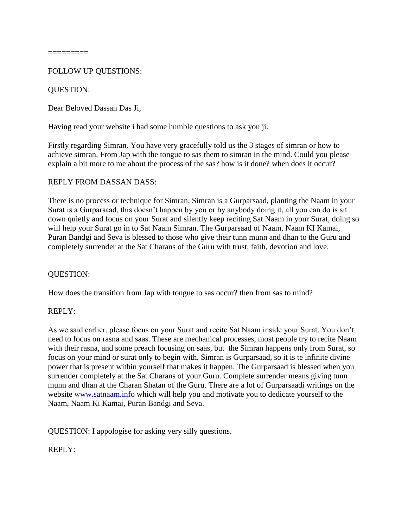## FOLLOW UP QUESTIONS:

### QUESTION:

Dear Beloved Dassan Das Ji,

Having read your website i had some humble questions to ask you ji.

Firstly regarding Simran. You have very gracefully told us the 3 stages of simran or how to achieve simran. From Jap with the tongue to sas them to simran in the mind. Could you please explain a bit more to me about the process of the sas? how is it done? when does it occur?

#### REPLY FROM DASSAN DASS:

There is no process or technique for Simran, Simran is a Gurparsaad, planting the Naam in your Surat is a Gurparsaad, this doesn't happen by you or by anybody doing it, all you can do is sit down quietly and focus on your Surat and silently keep reciting Sat Naam in your Surat, doing so will help your Surat go in to Sat Naam Simran. The Gurparsaad of Naam, Naam KI Kamai, Puran Bandgi and Seva is blessed to those who give their tunn munn and dhan to the Guru and completely surrender at the Sat Charans of the Guru with trust, faith, devotion and love.

#### QUESTION:

How does the transition from Jap with tongue to sas occur? then from sas to mind?

#### REPLY:

As we said earlier, please focus on your Surat and recite Sat Naam inside your Surat. You don't need to focus on rasna and saas. These are mechanical processes, most people try to recite Naam with their rasna, and some preach focusing on saas, but the Simran happens only from Surat, so focus on your mind or surat only to begin with. Simran is Gurparsaad, so it is te infinite divine power that is present within yourself that makes it happen. The Gurparsaad is blessed when you surrender completely at the Sat Charans of your Guru. Complete surrender means giving tunn munn and dhan at the Charan Shatan of the Guru. There are a lot of Gurparsaadi writings on the website [www.satnaam.info](http://satnaam.info/) which will help you and motivate you to dedicate yourself to the Naam, Naam Ki Kamai, Puran Bandgi and Seva.

QUESTION: I appologise for asking very silly questions.

#### REPLY: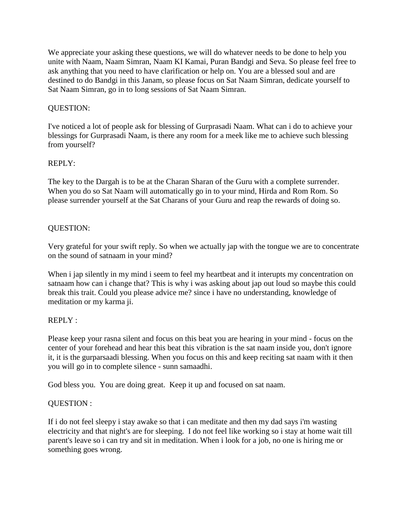We appreciate your asking these questions, we will do whatever needs to be done to help you unite with Naam, Naam Simran, Naam KI Kamai, Puran Bandgi and Seva. So please feel free to ask anything that you need to have clarification or help on. You are a blessed soul and are destined to do Bandgi in this Janam, so please focus on Sat Naam Simran, dedicate yourself to Sat Naam Simran, go in to long sessions of Sat Naam Simran.

## QUESTION:

I've noticed a lot of people ask for blessing of Gurprasadi Naam. What can i do to achieve your blessings for Gurprasadi Naam, is there any room for a meek like me to achieve such blessing from yourself?

## REPLY:

The key to the Dargah is to be at the Charan Sharan of the Guru with a complete surrender. When you do so Sat Naam will automatically go in to your mind, Hirda and Rom Rom. So please surrender yourself at the Sat Charans of your Guru and reap the rewards of doing so.

# QUESTION:

Very grateful for your swift reply. So when we actually jap with the tongue we are to concentrate on the sound of satnaam in your mind?

When i jap silently in my mind i seem to feel my heartbeat and it interupts my concentration on satnaam how can i change that? This is why i was asking about jap out loud so maybe this could break this trait. Could you please advice me? since i have no understanding, knowledge of meditation or my karma ji.

# REPLY :

Please keep your rasna silent and focus on this beat you are hearing in your mind - focus on the center of your forehead and hear this beat this vibration is the sat naam inside you, don't ignore it, it is the gurparsaadi blessing. When you focus on this and keep reciting sat naam with it then you will go in to complete silence - sunn samaadhi.

God bless you. You are doing great. Keep it up and focused on sat naam.

# QUESTION :

If i do not feel sleepy i stay awake so that i can meditate and then my dad says i'm wasting electricity and that night's are for sleeping. I do not feel like working so i stay at home wait till parent's leave so i can try and sit in meditation. When i look for a job, no one is hiring me or something goes wrong.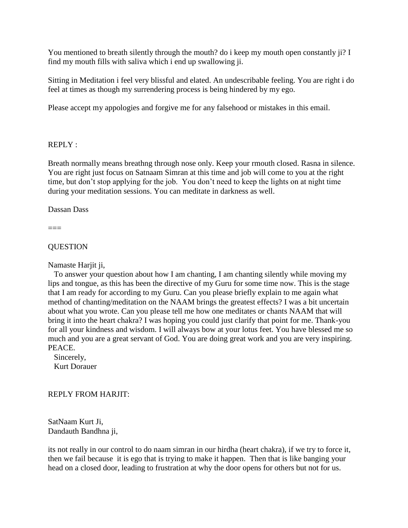You mentioned to breath silently through the mouth? do i keep my mouth open constantly ji? I find my mouth fills with saliva which i end up swallowing ji.

Sitting in Meditation i feel very blissful and elated. An undescribable feeling. You are right i do feel at times as though my surrendering process is being hindered by my ego.

Please accept my appologies and forgive me for any falsehood or mistakes in this email.

#### REPLY :

Breath normally means breathng through nose only. Keep your rmouth closed. Rasna in silence. You are right just focus on Satnaam Simran at this time and job will come to you at the right time, but don't stop applying for the job. You don't need to keep the lights on at night time during your meditation sessions. You can meditate in darkness as well.

Dassan Dass

===

**OUESTION** 

Namaste Harjit ji,

 To answer your question about how I am chanting, I am chanting silently while moving my lips and tongue, as this has been the directive of my Guru for some time now. This is the stage that I am ready for according to my Guru. Can you please briefly explain to me again what method of chanting/meditation on the NAAM brings the greatest effects? I was a bit uncertain about what you wrote. Can you please tell me how one meditates or chants NAAM that will bring it into the heart chakra? I was hoping you could just clarify that point for me. Thank-you for all your kindness and wisdom. I will always bow at your lotus feet. You have blessed me so much and you are a great servant of God. You are doing great work and you are very inspiring. PEACE.

 Sincerely, Kurt Dorauer

#### REPLY FROM HARJIT:

SatNaam Kurt Ji, Dandauth Bandhna ji,

its not really in our control to do naam simran in our hirdha (heart chakra), if we try to force it, then we fail because it is ego that is trying to make it happen. Then that is like banging your head on a closed door, leading to frustration at why the door opens for others but not for us.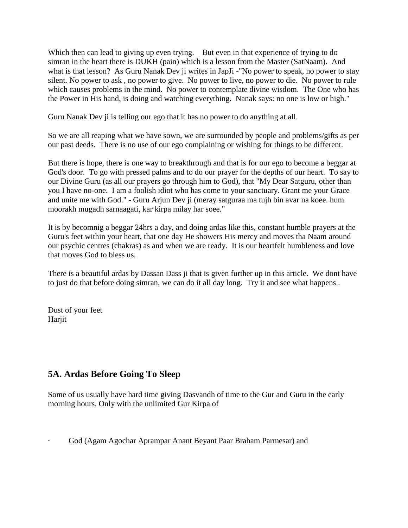Which then can lead to giving up even trying. But even in that experience of trying to do simran in the heart there is DUKH (pain) which is a lesson from the Master (SatNaam). And what is that lesson? As Guru Nanak Dev ji writes in JapJi -"No power to speak, no power to stay silent. No power to ask , no power to give. No power to live, no power to die. No power to rule which causes problems in the mind. No power to contemplate divine wisdom. The One who has the Power in His hand, is doing and watching everything. Nanak says: no one is low or high."

Guru Nanak Dev ji is telling our ego that it has no power to do anything at all.

So we are all reaping what we have sown, we are surrounded by people and problems/gifts as per our past deeds. There is no use of our ego complaining or wishing for things to be different.

But there is hope, there is one way to breakthrough and that is for our ego to become a beggar at God's door. To go with pressed palms and to do our prayer for the depths of our heart. To say to our Divine Guru (as all our prayers go through him to God), that "My Dear Satguru, other than you I have no-one. I am a foolish idiot who has come to your sanctuary. Grant me your Grace and unite me with God." - Guru Arjun Dev ji (meray satguraa ma tujh bin avar na koee. hum moorakh mugadh sarnaagati, kar kirpa milay har soee."

It is by becomnig a beggar 24hrs a day, and doing ardas like this, constant humble prayers at the Guru's feet within your heart, that one day He showers His mercy and moves tha Naam around our psychic centres (chakras) as and when we are ready. It is our heartfelt humbleness and love that moves God to bless us.

There is a beautiful ardas by Dassan Dass ji that is given further up in this article. We dont have to just do that before doing simran, we can do it all day long. Try it and see what happens .

Dust of your feet Harjit

# <span id="page-35-0"></span>**5A. Ardas Before Going To Sleep**

Some of us usually have hard time giving Dasvandh of time to the Gur and Guru in the early morning hours. Only with the unlimited Gur Kirpa of

· God (Agam Agochar Aprampar Anant Beyant Paar Braham Parmesar) and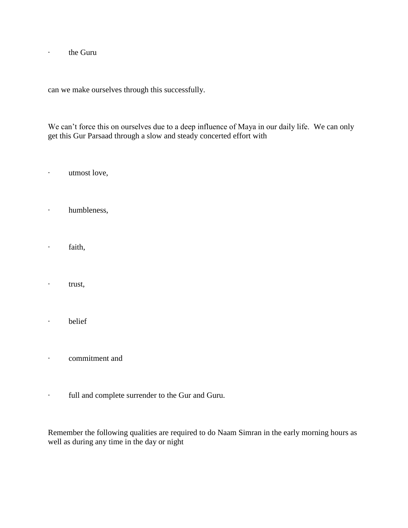· the Guru

can we make ourselves through this successfully.

We can't force this on ourselves due to a deep influence of Maya in our daily life. We can only get this Gur Parsaad through a slow and steady concerted effort with

· utmost love,

- · humbleness,
- · faith,
- · trust,
- · belief
- · commitment and
- · full and complete surrender to the Gur and Guru.

Remember the following qualities are required to do Naam Simran in the early morning hours as well as during any time in the day or night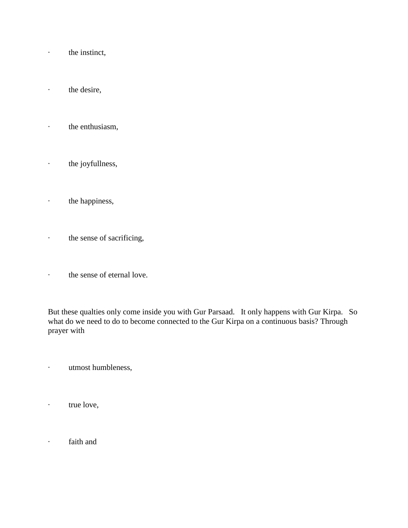- · the instinct,
- · the desire,
- · the enthusiasm,
- · the joyfullness,
- · the happiness,
- · the sense of sacrificing,
- · the sense of eternal love.

But these qualties only come inside you with Gur Parsaad. It only happens with Gur Kirpa. So what do we need to do to become connected to the Gur Kirpa on a continuous basis? Through prayer with

- · utmost humbleness,
- · true love,
- · faith and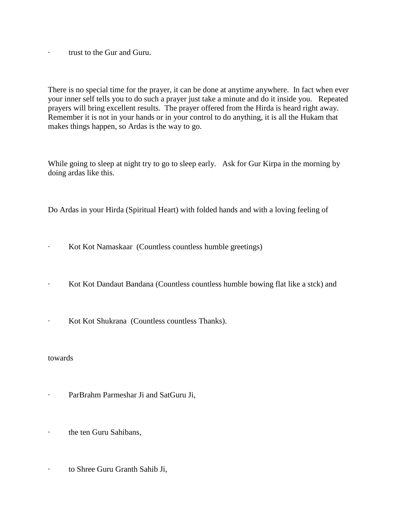· trust to the Gur and Guru.

There is no special time for the prayer, it can be done at anytime anywhere. In fact when ever your inner self tells you to do such a prayer just take a minute and do it inside you. Repeated prayers will bring excellent results. The prayer offered from the Hirda is heard right away. Remember it is not in your hands or in your control to do anything, it is all the Hukam that makes things happen, so Ardas is the way to go.

While going to sleep at night try to go to sleep early. Ask for Gur Kirpa in the morning by doing ardas like this.

Do Ardas in your Hirda (Spiritual Heart) with folded hands and with a loving feeling of

- · Kot Kot Namaskaar (Countless countless humble greetings)
- · Kot Kot Dandaut Bandana (Countless countless humble bowing flat like a stck) and
- · Kot Kot Shukrana (Countless countless Thanks).

#### towards

- · ParBrahm Parmeshar Ji and SatGuru Ji,
- · the ten Guru Sahibans,
- · to Shree Guru Granth Sahib Ji,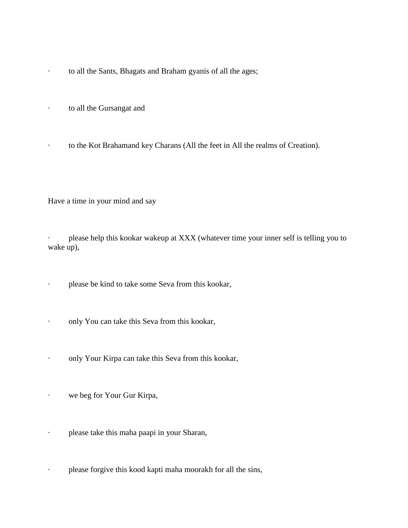- · to all the Sants, Bhagats and Braham gyanis of all the ages;
- · to all the Gursangat and
- · to the Kot Brahamand key Charans (All the feet in All the realms of Creation).

Have a time in your mind and say

· please help this kookar wakeup at XXX (whatever time your inner self is telling you to wake up),

· please be kind to take some Seva from this kookar,

- · only You can take this Seva from this kookar,
- · only Your Kirpa can take this Seva from this kookar,
- · we beg for Your Gur Kirpa,
- · please take this maha paapi in your Sharan,
- · please forgive this kood kapti maha moorakh for all the sins,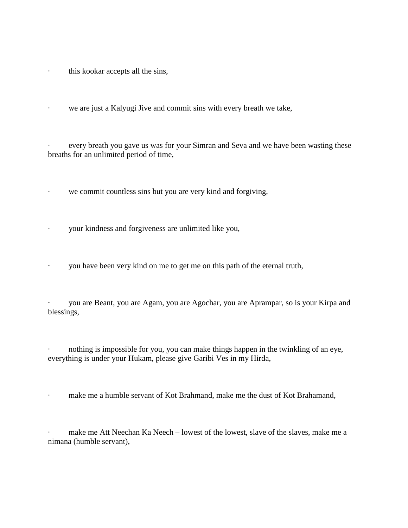- · this kookar accepts all the sins,
- · we are just a Kalyugi Jive and commit sins with every breath we take,

every breath you gave us was for your Simran and Seva and we have been wasting these breaths for an unlimited period of time,

- · we commit countless sins but you are very kind and forgiving,
- · your kindness and forgiveness are unlimited like you,
- · you have been very kind on me to get me on this path of the eternal truth,

you are Beant, you are Agam, you are Agochar, you are Aprampar, so is your Kirpa and blessings,

nothing is impossible for you, you can make things happen in the twinkling of an eye, everything is under your Hukam, please give Garibi Ves in my Hirda,

make me a humble servant of Kot Brahmand, make me the dust of Kot Brahamand,

make me Att Neechan Ka Neech – lowest of the lowest, slave of the slaves, make me a nimana (humble servant),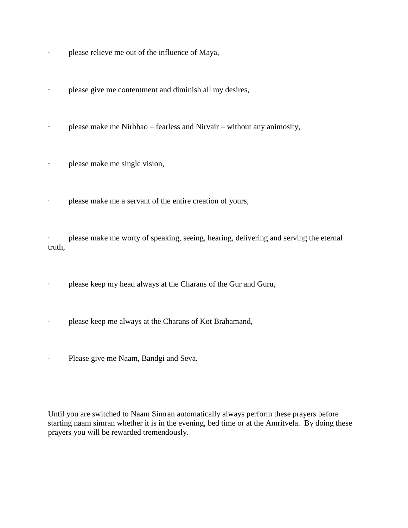- · please relieve me out of the influence of Maya,
- · please give me contentment and diminish all my desires,
- · please make me Nirbhao fearless and Nirvair without any animosity,
- · please make me single vision,
- · please make me a servant of the entire creation of yours,

· please make me worty of speaking, seeing, hearing, delivering and serving the eternal truth,

please keep my head always at the Charans of the Gur and Guru,

- · please keep me always at the Charans of Kot Brahamand,
- · Please give me Naam, Bandgi and Seva.

Until you are switched to Naam Simran automatically always perform these prayers before starting naam simran whether it is in the evening, bed time or at the Amritvela. By doing these prayers you will be rewarded tremendously.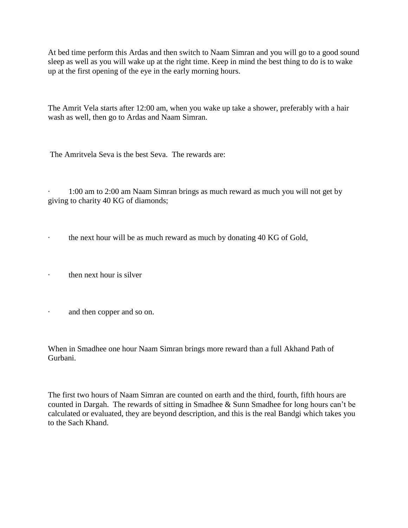At bed time perform this Ardas and then switch to Naam Simran and you will go to a good sound sleep as well as you will wake up at the right time. Keep in mind the best thing to do is to wake up at the first opening of the eye in the early morning hours.

The Amrit Vela starts after 12:00 am, when you wake up take a shower, preferably with a hair wash as well, then go to Ardas and Naam Simran.

The Amritvela Seva is the best Seva. The rewards are:

· 1:00 am to 2:00 am Naam Simran brings as much reward as much you will not get by giving to charity 40 KG of diamonds;

· the next hour will be as much reward as much by donating 40 KG of Gold,

- then next hour is silver
- and then copper and so on.

When in Smadhee one hour Naam Simran brings more reward than a full Akhand Path of Gurbani.

The first two hours of Naam Simran are counted on earth and the third, fourth, fifth hours are counted in Dargah. The rewards of sitting in Smadhee & Sunn Smadhee for long hours can't be calculated or evaluated, they are beyond description, and this is the real Bandgi which takes you to the Sach Khand.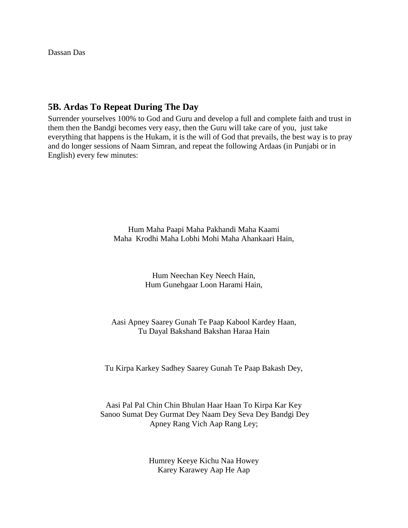Dassan Das

# **5B. Ardas To Repeat During The Day**

Surrender yourselves 100% to God and Guru and develop a full and complete faith and trust in them then the Bandgi becomes very easy, then the Guru will take care of you, just take everything that happens is the Hukam, it is the will of God that prevails, the best way is to pray and do longer sessions of Naam Simran, and repeat the following Ardaas (in Punjabi or in English) every few minutes:

> Hum Maha Paapi Maha Pakhandi Maha Kaami Maha Krodhi Maha Lobhi Mohi Maha Ahankaari Hain,

> > Hum Neechan Key Neech Hain, Hum Gunehgaar Loon Harami Hain,

### Aasi Apney Saarey Gunah Te Paap Kabool Kardey Haan, Tu Dayal Bakshand Bakshan Haraa Hain

Tu Kirpa Karkey Sadhey Saarey Gunah Te Paap Bakash Dey,

### Aasi Pal Pal Chin Chin Bhulan Haar Haan To Kirpa Kar Key Sanoo Sumat Dey Gurmat Dey Naam Dey Seva Dey Bandgi Dey Apney Rang Vich Aap Rang Ley;

Humrey Keeye Kichu Naa Howey Karey Karawey Aap He Aap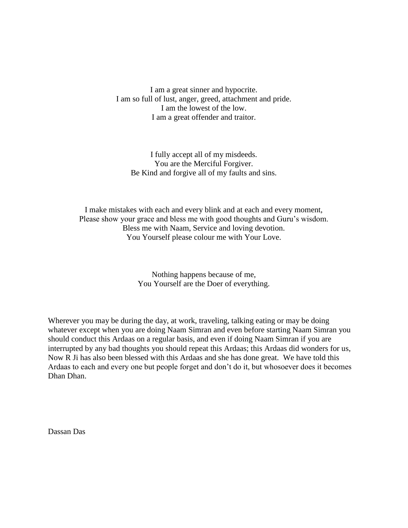I am a great sinner and hypocrite. I am so full of lust, anger, greed, attachment and pride. I am the lowest of the low. I am a great offender and traitor.

I fully accept all of my misdeeds. You are the Merciful Forgiver. Be Kind and forgive all of my faults and sins.

I make mistakes with each and every blink and at each and every moment, Please show your grace and bless me with good thoughts and Guru's wisdom. Bless me with Naam, Service and loving devotion. You Yourself please colour me with Your Love.

> Nothing happens because of me, You Yourself are the Doer of everything.

Wherever you may be during the day, at work, traveling, talking eating or may be doing whatever except when you are doing Naam Simran and even before starting Naam Simran you should conduct this Ardaas on a regular basis, and even if doing Naam Simran if you are interrupted by any bad thoughts you should repeat this Ardaas; this Ardaas did wonders for us, Now R Ji has also been blessed with this Ardaas and she has done great. We have told this Ardaas to each and every one but people forget and don't do it, but whosoever does it becomes Dhan Dhan.

Dassan Das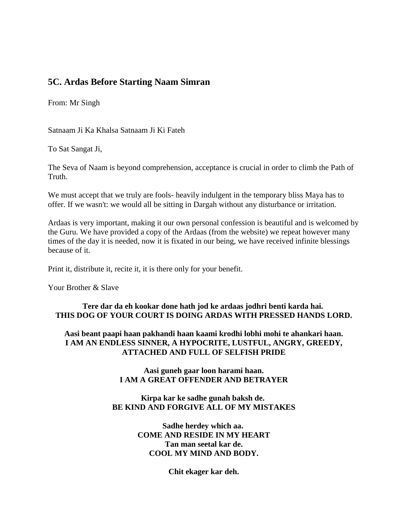# **5C. Ardas Before Starting Naam Simran**

From: Mr Singh

Satnaam Ji Ka Khalsa Satnaam Ji Ki Fateh

To Sat Sangat Ji,

The Seva of Naam is beyond comprehension, acceptance is crucial in order to climb the Path of Truth.

We must accept that we truly are fools- heavily indulgent in the temporary bliss Maya has to offer. If we wasn't: we would all be sitting in Dargah without any disturbance or irritation.

Ardaas is very important, making it our own personal confession is beautiful and is welcomed by the Guru. We have provided a copy of the Ardaas (from the website) we repeat however many times of the day it is needed, now it is fixated in our being, we have received infinite blessings because of it.

Print it, distribute it, recite it, it is there only for your benefit.

Your Brother & Slave

### **Tere dar da eh kookar done hath jod ke ardaas jodhri benti karda hai. THIS DOG OF YOUR COURT IS DOING ARDAS WITH PRESSED HANDS LORD.**

**Aasi beant paapi haan pakhandi haan kaami krodhi lobhi mohi te ahankari haan. I AM AN ENDLESS SINNER, A HYPOCRITE, LUSTFUL, ANGRY, GREEDY, ATTACHED AND FULL OF SELFISH PRIDE**

### **Aasi guneh gaar loon harami haan. I AM A GREAT OFFENDER AND BETRAYER**

### **Kirpa kar ke sadhe gunah baksh de. BE KIND AND FORGIVE ALL OF MY MISTAKES**

**Sadhe herdey which aa. COME AND RESIDE IN MY HEART Tan man seetal kar de. COOL MY MIND AND BODY.**

**Chit ekager kar deh.**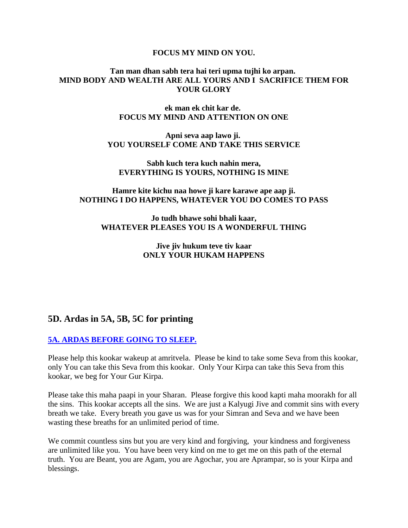#### **FOCUS MY MIND ON YOU.**

#### **Tan man dhan sabh tera hai teri upma tujhi ko arpan. MIND BODY AND WEALTH ARE ALL YOURS AND I SACRIFICE THEM FOR YOUR GLORY**

#### **ek man ek chit kar de. FOCUS MY MIND AND ATTENTION ON ONE**

**Apni seva aap lawo ji. YOU YOURSELF COME AND TAKE THIS SERVICE** 

**Sabh kuch tera kuch nahin mera, EVERYTHING IS YOURS, NOTHING IS MINE**

#### **Hamre kite kichu naa howe ji kare karawe ape aap ji. NOTHING I DO HAPPENS, WHATEVER YOU DO COMES TO PASS**

**Jo tudh bhawe sohi bhali kaar, WHATEVER PLEASES YOU IS A WONDERFUL THING**

> **Jive jiv hukum teve tiv kaar ONLY YOUR HUKAM HAPPENS**

# **5D. Ardas in 5A, 5B, 5C for printing**

### **[5A. ARDAS BEFORE GOING TO SLEEP.](http://www.satnaam.info/index.php?option=com_content&task=view&id=60&Itemid=14)**

Please help this kookar wakeup at amritvela. Please be kind to take some Seva from this kookar, only You can take this Seva from this kookar. Only Your Kirpa can take this Seva from this kookar, we beg for Your Gur Kirpa.

Please take this maha paapi in your Sharan. Please forgive this kood kapti maha moorakh for all the sins. This kookar accepts all the sins. We are just a Kalyugi Jive and commit sins with every breath we take. Every breath you gave us was for your Simran and Seva and we have been wasting these breaths for an unlimited period of time.

We commit countless sins but you are very kind and forgiving, your kindness and forgiveness are unlimited like you. You have been very kind on me to get me on this path of the eternal truth. You are Beant, you are Agam, you are Agochar, you are Aprampar, so is your Kirpa and blessings.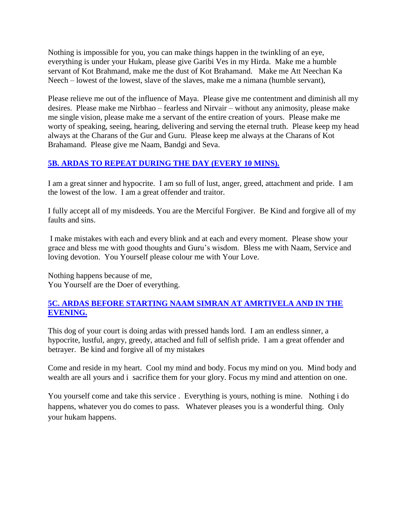Nothing is impossible for you, you can make things happen in the twinkling of an eye, everything is under your Hukam, please give Garibi Ves in my Hirda. Make me a humble servant of Kot Brahmand, make me the dust of Kot Brahamand. Make me Att Neechan Ka Neech – lowest of the lowest, slave of the slaves, make me a nimana (humble servant),

Please relieve me out of the influence of Maya. Please give me contentment and diminish all my desires. Please make me Nirbhao – fearless and Nirvair – without any animosity, please make me single vision, please make me a servant of the entire creation of yours. Please make me worty of speaking, seeing, hearing, delivering and serving the eternal truth. Please keep my head always at the Charans of the Gur and Guru. Please keep me always at the Charans of Kot Brahamand. Please give me Naam, Bandgi and Seva.

# **[5B. ARDAS TO REPEAT DURING THE DAY \(EVERY 10 MINS\).](http://www.satnaam.info/index.php?option=com_content&task=view&id=59&Itemid=14)**

I am a great sinner and hypocrite. I am so full of lust, anger, greed, attachment and pride. I am the lowest of the low. I am a great offender and traitor.

I fully accept all of my misdeeds. You are the Merciful Forgiver. Be Kind and forgive all of my faults and sins.

I make mistakes with each and every blink and at each and every moment. Please show your grace and bless me with good thoughts and Guru's wisdom. Bless me with Naam, Service and loving devotion. You Yourself please colour me with Your Love.

Nothing happens because of me, You Yourself are the Doer of everything.

## **[5C. ARDAS BEFORE STARTING NAAM SIMRAN AT AMRTIVELA AND IN THE](http://www.satnaam.info/index.php?option=com_content&task=view&id=1934&Itemid=14)  [EVENING.](http://www.satnaam.info/index.php?option=com_content&task=view&id=1934&Itemid=14)**

This dog of your court is doing ardas with pressed hands lord. I am an endless sinner, a hypocrite, lustful, angry, greedy, attached and full of selfish pride. I am a great offender and betrayer. Be kind and forgive all of my mistakes

Come and reside in my heart. Cool my mind and body. Focus my mind on you. Mind body and wealth are all yours and i sacrifice them for your glory. Focus my mind and attention on one.

You yourself come and take this service . Everything is yours, nothing is mine. Nothing i do happens, whatever you do comes to pass. Whatever pleases you is a wonderful thing. Only your hukam happens.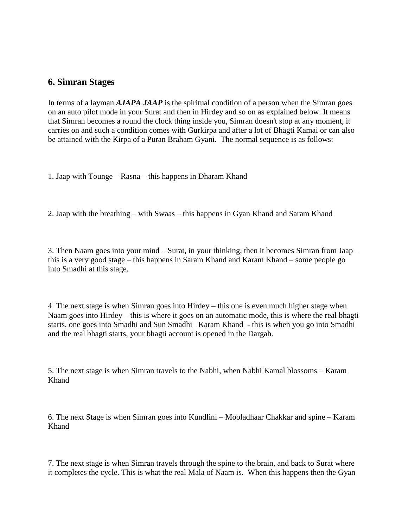# **6. Simran Stages**

In terms of a layman *AJAPA JAAP* is the spiritual condition of a person when the Simran goes on an auto pilot mode in your Surat and then in Hirdey and so on as explained below. It means that Simran becomes a round the clock thing inside you, Simran doesn't stop at any moment, it carries on and such a condition comes with Gurkirpa and after a lot of Bhagti Kamai or can also be attained with the Kirpa of a Puran Braham Gyani. The normal sequence is as follows:

1. Jaap with Tounge – Rasna – this happens in Dharam Khand

2. Jaap with the breathing – with Swaas – this happens in Gyan Khand and Saram Khand

3. Then Naam goes into your mind – Surat, in your thinking, then it becomes Simran from Jaap – this is a very good stage – this happens in Saram Khand and Karam Khand – some people go into Smadhi at this stage.

4. The next stage is when Simran goes into Hirdey – this one is even much higher stage when Naam goes into Hirdey – this is where it goes on an automatic mode, this is where the real bhagti starts, one goes into Smadhi and Sun Smadhi– Karam Khand - this is when you go into Smadhi and the real bhagti starts, your bhagti account is opened in the Dargah.

5. The next stage is when Simran travels to the Nabhi, when Nabhi Kamal blossoms – Karam Khand

6. The next Stage is when Simran goes into Kundlini – Mooladhaar Chakkar and spine – Karam Khand

7. The next stage is when Simran travels through the spine to the brain, and back to Surat where it completes the cycle. This is what the real Mala of Naam is. When this happens then the Gyan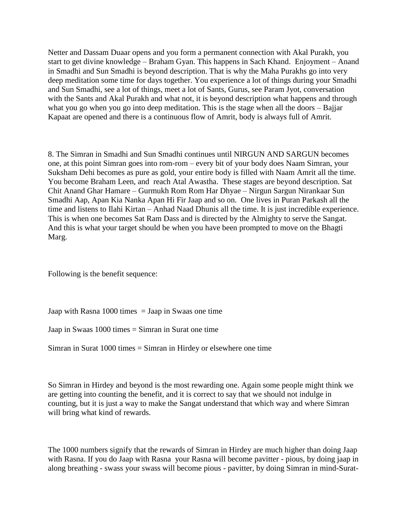Netter and Dassam Duaar opens and you form a permanent connection with Akal Purakh, you start to get divine knowledge – Braham Gyan. This happens in Sach Khand. Enjoyment – Anand in Smadhi and Sun Smadhi is beyond description. That is why the Maha Purakhs go into very deep meditation some time for days together. You experience a lot of things during your Smadhi and Sun Smadhi, see a lot of things, meet a lot of Sants, Gurus, see Param Jyot, conversation with the Sants and Akal Purakh and what not, it is beyond description what happens and through what you go when you go into deep meditation. This is the stage when all the doors – Bajjar Kapaat are opened and there is a continuous flow of Amrit, body is always full of Amrit.

8. The Simran in Smadhi and Sun Smadhi continues until NIRGUN AND SARGUN becomes one, at this point Simran goes into rom-rom – every bit of your body does Naam Simran, your Suksham Dehi becomes as pure as gold, your entire body is filled with Naam Amrit all the time. You become Braham Leen, and reach Atal Awastha. These stages are beyond description. Sat Chit Anand Ghar Hamare – Gurmukh Rom Rom Har Dhyae – Nirgun Sargun Nirankaar Sun Smadhi Aap, Apan Kia Nanka Apan Hi Fir Jaap and so on. One lives in Puran Parkash all the time and listens to Ilahi Kirtan – Anhad Naad Dhunis all the time. It is just incredible experience. This is when one becomes Sat Ram Dass and is directed by the Almighty to serve the Sangat. And this is what your target should be when you have been prompted to move on the Bhagti Marg.

Following is the benefit sequence:

Jaap with Rasna  $1000$  times = Jaap in Swaas one time

Jaap in Swaas 1000 times = Simran in Surat one time

Simran in Surat 1000 times = Simran in Hirdey or elsewhere one time

So Simran in Hirdey and beyond is the most rewarding one. Again some people might think we are getting into counting the benefit, and it is correct to say that we should not indulge in counting, but it is just a way to make the Sangat understand that which way and where Simran will bring what kind of rewards.

The 1000 numbers signify that the rewards of Simran in Hirdey are much higher than doing Jaap with Rasna. If you do Jaap with Rasna your Rasna will become pavitter - pious, by doing jaap in along breathing - swass your swass will become pious - pavitter, by doing Simran in mind-Surat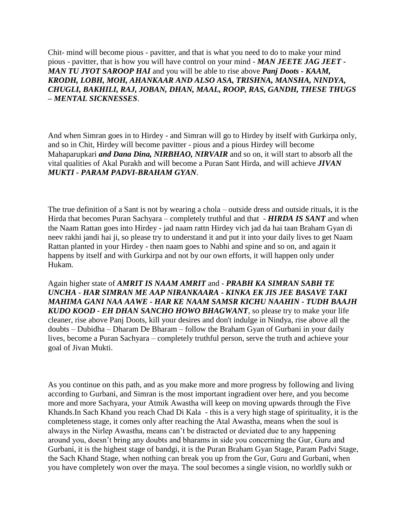Chit- mind will become pious - pavitter, and that is what you need to do to make your mind pious - pavitter, that is how you will have control on your mind - *MAN JEETE JAG JEET - MAN TU JYOT SAROOP HAI* and you will be able to rise above *Panj Doots - KAAM, KRODH, LOBH, MOH, AHANKAAR AND ALSO ASA, TRISHNA, MANSHA, NINDYA, CHUGLI, BAKHILI, RAJ, JOBAN, DHAN, MAAL, ROOP, RAS, GANDH, THESE THUGS – MENTAL SICKNESSES*.

And when Simran goes in to Hirdey - and Simran will go to Hirdey by itself with Gurkirpa only, and so in Chit, Hirdey will become pavitter - pious and a pious Hirdey will become Mahaparupkari *and Dana Dina, NIRBHAO, NIRVAIR* and so on, it will start to absorb all the vital qualities of Akal Purakh and will become a Puran Sant Hirda, and will achieve *JIVAN MUKTI - PARAM PADVI-BRAHAM GYAN*.

The true definition of a Sant is not by wearing a chola – outside dress and outside rituals, it is the Hirda that becomes Puran Sachyara – completely truthful and that - *HIRDA IS SANT* and when the Naam Rattan goes into Hirdey - jad naam rattn Hirdey vich jad da hai taan Braham Gyan di neev rakhi jandi hai ji, so please try to understand it and put it into your daily lives to get Naam Rattan planted in your Hirdey - then naam goes to Nabhi and spine and so on, and again it happens by itself and with Gurkirpa and not by our own efforts, it will happen only under Hukam.

Again higher state of *AMRIT IS NAAM AMRIT* and - *PRABH KA SIMRAN SABH TE UNCHA - HAR SIMRAN ME AAP NIRANKAARA - KINKA EK JIS JEE BASAVE TAKI MAHIMA GANI NAA AAWE - HAR KE NAAM SAMSR KICHU NAAHIN - TUDH BAAJH KUDO KOOD - EH DHAN SANCHO HOWO BHAGWANT*, so please try to make your life cleaner, rise above Panj Doots, kill your desires and don't indulge in Nindya, rise above all the doubts – Dubidha – Dharam De Bharam – follow the Braham Gyan of Gurbani in your daily lives, become a Puran Sachyara – completely truthful person, serve the truth and achieve your goal of Jivan Mukti.

As you continue on this path, and as you make more and more progress by following and living according to Gurbani, and Simran is the most important ingradient over here, and you become more and more Sachyara, your Atmik Awastha will keep on moving upwards through the Five Khands.In Sach Khand you reach Chad Di Kala - this is a very high stage of spirituality, it is the completeness stage, it comes only after reaching the Atal Awastha, means when the soul is always in the Nirlep Awastha, means can't be distracted or deviated due to any happening around you, doesn't bring any doubts and bharams in side you concerning the Gur, Guru and Gurbani, it is the highest stage of bandgi, it is the Puran Braham Gyan Stage, Param Padvi Stage, the Sach Khand Stage, when nothing can break you up from the Gur, Guru and Gurbani, when you have completely won over the maya. The soul becomes a single vision, no worldly sukh or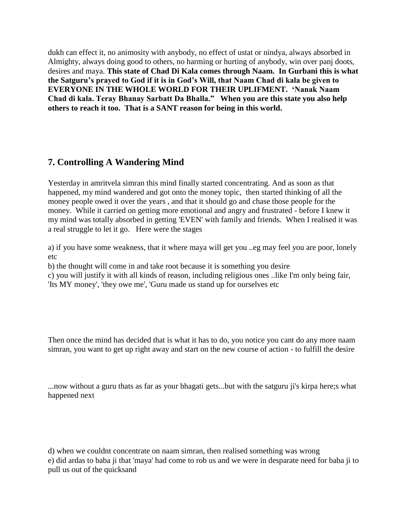dukh can effect it, no animosity with anybody, no effect of ustat or nindya, always absorbed in Almighty, always doing good to others, no harming or hurting of anybody, win over panj doots, desires and maya. **This state of Chad Di Kala comes through Naam. In Gurbani this is what the Satguru's prayed to God if it is in God's Will, that Naam Chad di kala be given to EVERYONE IN THE WHOLE WORLD FOR THEIR UPLIFMENT. 'Nanak Naam Chad di kala. Teray Bhanay Sarbatt Da Bhalla." When you are this state you also help others to reach it too. That is a SANT reason for being in this world.**

# **7. Controlling A Wandering Mind**

Yesterday in amritvela simran this mind finally started concentrating. And as soon as that happened, my mind wandered and got onto the money topic, then started thinking of all the money people owed it over the years , and that it should go and chase those people for the money. While it carried on getting more emotional and angry and frustrated - before I knew it my mind was totally absorbed in getting 'EVEN' with family and friends. When I realised it was a real struggle to let it go. Here were the stages

a) if you have some weakness, that it where maya will get you ..eg may feel you are poor, lonely etc

b) the thought will come in and take root because it is something you desire

c) you will justify it with all kinds of reason, including religious ones ..like I'm only being fair, 'Its MY money', 'they owe me', 'Guru made us stand up for ourselves etc

Then once the mind has decided that is what it has to do, you notice you cant do any more naam simran, you want to get up right away and start on the new course of action - to fulfill the desire

...now without a guru thats as far as your bhagati gets...but with the satguru ji's kirpa here;s what happened next

d) when we couldnt concentrate on naam simran, then realised something was wrong e) did ardas to baba ji that 'maya' had come to rob us and we were in desparate need for baba ji to pull us out of the quicksand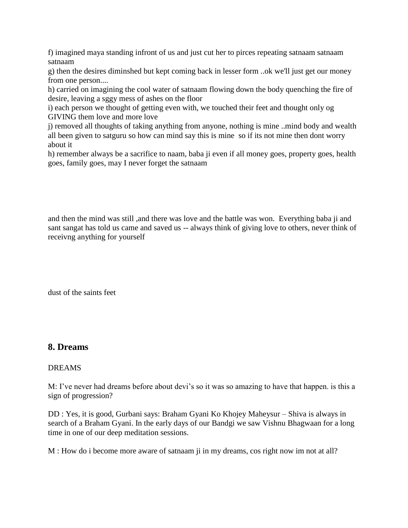f) imagined maya standing infront of us and just cut her to pirces repeating satnaam satnaam satnaam

g) then the desires diminshed but kept coming back in lesser form ..ok we'll just get our money from one person....

h) carried on imagining the cool water of satnaam flowing down the body quenching the fire of desire, leaving a sggy mess of ashes on the floor

i) each person we thought of getting even with, we touched their feet and thought only og GIVING them love and more love

j) removed all thoughts of taking anything from anyone, nothing is mine ..mind body and wealth all been given to satguru so how can mind say this is mine so if its not mine then dont worry about it

h) remember always be a sacrifice to naam, baba ji even if all money goes, property goes, health goes, family goes, may I never forget the satnaam

and then the mind was still ,and there was love and the battle was won. Everything baba ji and sant sangat has told us came and saved us -- always think of giving love to others, never think of receivng anything for yourself

dust of the saints feet

### **8. Dreams**

#### DREAMS

M: I've never had dreams before about devi's so it was so amazing to have that happen. is this a sign of progression?

DD : Yes, it is good, Gurbani says: Braham Gyani Ko Khojey Maheysur – Shiva is always in search of a Braham Gyani. In the early days of our Bandgi we saw Vishnu Bhagwaan for a long time in one of our deep meditation sessions.

M : How do i become more aware of satnaam ji in my dreams, cos right now im not at all?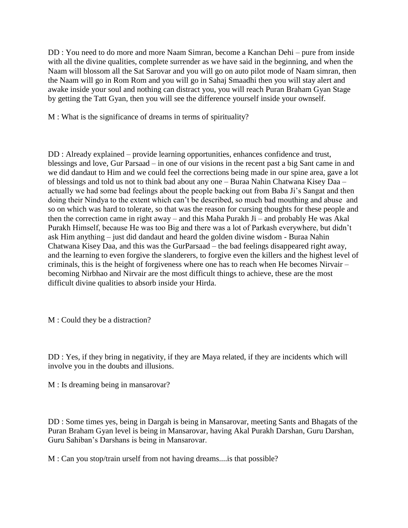DD : You need to do more and more Naam Simran, become a Kanchan Dehi – pure from inside with all the divine qualities, complete surrender as we have said in the beginning, and when the Naam will blossom all the Sat Sarovar and you will go on auto pilot mode of Naam simran, then the Naam will go in Rom Rom and you will go in Sahaj Smaadhi then you will stay alert and awake inside your soul and nothing can distract you, you will reach Puran Braham Gyan Stage by getting the Tatt Gyan, then you will see the difference yourself inside your ownself.

M : What is the significance of dreams in terms of spirituality?

DD : Already explained – provide learning opportunities, enhances confidence and trust, blessings and love, Gur Parsaad – in one of our visions in the recent past a big Sant came in and we did dandaut to Him and we could feel the corrections being made in our spine area, gave a lot of blessings and told us not to think bad about any one – Buraa Nahin Chatwana Kisey Daa – actually we had some bad feelings about the people backing out from Baba Ji's Sangat and then doing their Nindya to the extent which can't be described, so much bad mouthing and abuse and so on which was hard to tolerate, so that was the reason for cursing thoughts for these people and then the correction came in right away – and this Maha Purakh Ji – and probably He was Akal Purakh Himself, because He was too Big and there was a lot of Parkash everywhere, but didn't ask Him anything – just did dandaut and heard the golden divine wisdom - Buraa Nahin Chatwana Kisey Daa, and this was the GurParsaad – the bad feelings disappeared right away, and the learning to even forgive the slanderers, to forgive even the killers and the highest level of criminals, this is the height of forgiveness where one has to reach when He becomes Nirvair – becoming Nirbhao and Nirvair are the most difficult things to achieve, these are the most difficult divine qualities to absorb inside your Hirda.

M : Could they be a distraction?

DD : Yes, if they bring in negativity, if they are Maya related, if they are incidents which will involve you in the doubts and illusions.

M : Is dreaming being in mansarovar?

DD : Some times yes, being in Dargah is being in Mansarovar, meeting Sants and Bhagats of the Puran Braham Gyan level is being in Mansarovar, having Akal Purakh Darshan, Guru Darshan, Guru Sahiban's Darshans is being in Mansarovar.

M : Can you stop/train urself from not having dreams....is that possible?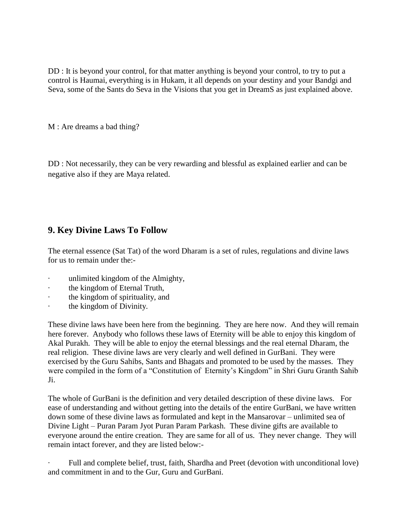DD : It is beyond your control, for that matter anything is beyond your control, to try to put a control is Haumai, everything is in Hukam, it all depends on your destiny and your Bandgi and Seva, some of the Sants do Seva in the Visions that you get in DreamS as just explained above.

M : Are dreams a bad thing?

DD : Not necessarily, they can be very rewarding and blessful as explained earlier and can be negative also if they are Maya related.

# **9. Key Divine Laws To Follow**

The eternal essence (Sat Tat) of the word Dharam is a set of rules, regulations and divine laws for us to remain under the:-

- unlimited kingdom of the Almighty,
- the kingdom of Eternal Truth,
- · the kingdom of spirituality, and
- · the kingdom of Divinity.

These divine laws have been here from the beginning. They are here now. And they will remain here forever. Anybody who follows these laws of Eternity will be able to enjoy this kingdom of Akal Purakh. They will be able to enjoy the eternal blessings and the real eternal Dharam, the real religion. These divine laws are very clearly and well defined in GurBani. They were exercised by the Guru Sahibs, Sants and Bhagats and promoted to be used by the masses. They were compiled in the form of a "Constitution of Eternity's Kingdom" in Shri Guru Granth Sahib Ji.

The whole of GurBani is the definition and very detailed description of these divine laws. For ease of understanding and without getting into the details of the entire GurBani, we have written down some of these divine laws as formulated and kept in the Mansarovar – unlimited sea of Divine Light – Puran Param Jyot Puran Param Parkash. These divine gifts are available to everyone around the entire creation. They are same for all of us. They never change. They will remain intact forever, and they are listed below:-

Full and complete belief, trust, faith, Shardha and Preet (devotion with unconditional love) and commitment in and to the Gur, Guru and GurBani.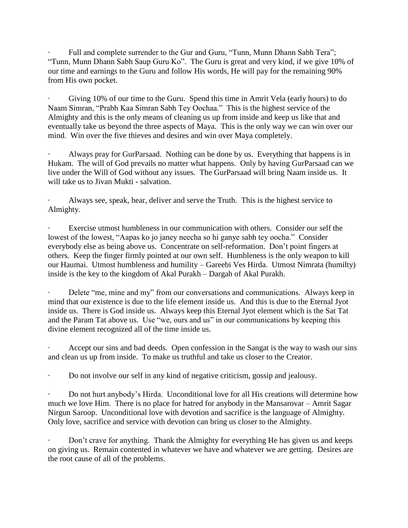Full and complete surrender to the Gur and Guru, "Tunn, Munn Dhann Sabh Tera"; "Tunn, Munn Dhann Sabh Saup Guru Ko". The Guru is great and very kind, if we give 10% of our time and earnings to the Guru and follow His words, He will pay for the remaining 90% from His own pocket.

Giving 10% of our time to the Guru. Spend this time in Amrit Vela (early hours) to do Naam Simran, "Prabh Kaa Simran Sabh Tey Oochaa." This is the highest service of the Almighty and this is the only means of cleaning us up from inside and keep us like that and eventually take us beyond the three aspects of Maya. This is the only way we can win over our mind. Win over the five thieves and desires and win over Maya completely.

Always pray for GurParsaad. Nothing can be done by us. Everything that happens is in Hukam. The will of God prevails no matter what happens. Only by having GurParsaad can we live under the Will of God without any issues. The GurParsaad will bring Naam inside us. It will take us to Jivan Mukti - salvation.

Always see, speak, hear, deliver and serve the Truth. This is the highest service to Almighty.

Exercise utmost humbleness in our communication with others. Consider our self the lowest of the lowest, "Aapas ko jo janey neecha so hi ganye sabh tey oocha." Consider everybody else as being above us. Concentrate on self-reformation. Don't point fingers at others. Keep the finger firmly pointed at our own self. Humbleness is the only weapon to kill our Haumai. Utmost humbleness and humility – Gareebi Ves Hirda. Utmost Nimrata (humilty) inside is the key to the kingdom of Akal Purakh – Dargah of Akal Purakh.

Delete "me, mine and my" from our conversations and communications. Always keep in mind that our existence is due to the life element inside us. And this is due to the Eternal Jyot inside us. There is God inside us. Always keep this Eternal Jyot element which is the Sat Tat and the Param Tat above us. Use "we, ours and us" in our communications by keeping this divine element recognized all of the time inside us.

Accept our sins and bad deeds. Open confession in the Sangat is the way to wash our sins and clean us up from inside. To make us truthful and take us closer to the Creator.

· Do not involve our self in any kind of negative criticism, gossip and jealousy.

· Do not hurt anybody's Hirda. Unconditional love for all His creations will determine how much we love Him. There is no place for hatred for anybody in the Mansarovar – Amrit Sagar Nirgun Saroop. Unconditional love with devotion and sacrifice is the language of Almighty. Only love, sacrifice and service with devotion can bring us closer to the Almighty.

Don't crave for anything. Thank the Almighty for everything He has given us and keeps on giving us. Remain contented in whatever we have and whatever we are getting. Desires are the root cause of all of the problems.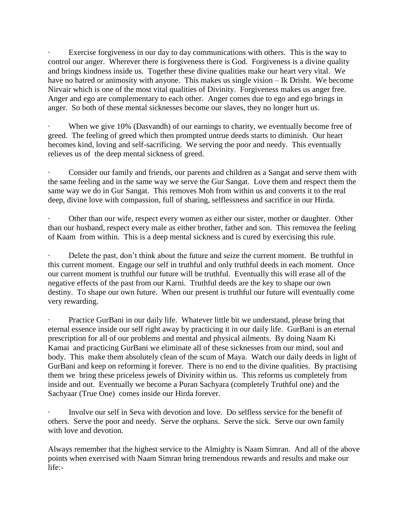Exercise forgiveness in our day to day communications with others. This is the way to control our anger. Wherever there is forgiveness there is God. Forgiveness is a divine quality and brings kindness inside us. Together these divine qualities make our heart very vital. We have no hatred or animosity with anyone. This makes us single vision – Ik Drisht. We become Nirvair which is one of the most vital qualities of Divinity. Forgiveness makes us anger free. Anger and ego are complementary to each other. Anger comes due to ego and ego brings in anger. So both of these mental sicknesses become our slaves, they no longer hurt us.

When we give 10% (Dasvandh) of our earnings to charity, we eventually become free of greed. The feeling of greed which then prompted untrue deeds starts to diminish. Our heart becomes kind, loving and self-sacrificing. We serving the poor and needy. This eventually relieves us of the deep mental sickness of greed.

Consider our family and friends, our parents and children as a Sangat and serve them with the same feeling and in the same way we serve the Gur Sangat. Love them and respect them the same way we do in Gur Sangat. This removes Moh from within us and converts it to the real deep, divine love with compassion, full of sharing, selflessness and sacrifice in our Hirda.

Other than our wife, respect every women as either our sister, mother or daughter. Other than our husband, respect every male as either brother, father and son. This removea the feeling of Kaam from within. This is a deep mental sickness and is cured by exercising this rule.

Delete the past, don't think about the future and seize the current moment. Be truthful in this current moment. Engage our self in truthful and only truthful deeds in each moment. Once our current moment is truthful our future will be truthful. Eventually this will erase all of the negative effects of the past from our Karni. Truthful deeds are the key to shape our own destiny. To shape our own future. When our present is truthful our future will eventually come very rewarding.

Practice GurBani in our daily life. Whatever little bit we understand, please bring that eternal essence inside our self right away by practicing it in our daily life. GurBani is an eternal prescription for all of our problems and mental and physical ailments. By doing Naam Ki Kamai and practicing GurBani we eliminate all of these sicknesses from our mind, soul and body. This make them absolutely clean of the scum of Maya. Watch our daily deeds in light of GurBani and keep on reforming it forever. There is no end to the divine qualities. By practising them we bring these priceless jewels of Divinity within us. This reforms us completely from inside and out. Eventually we become a Puran Sachyara (completely Truthful one) and the Sachyaar (True One) comes inside our Hirda forever.

· Involve our self in Seva with devotion and love. Do selfless service for the benefit of others. Serve the poor and needy. Serve the orphans. Serve the sick. Serve our own family with love and devotion.

Always remember that the highest service to the Almighty is Naam Simran. And all of the above points when exercised with Naam Simran bring tremendous rewards and results and make our life:-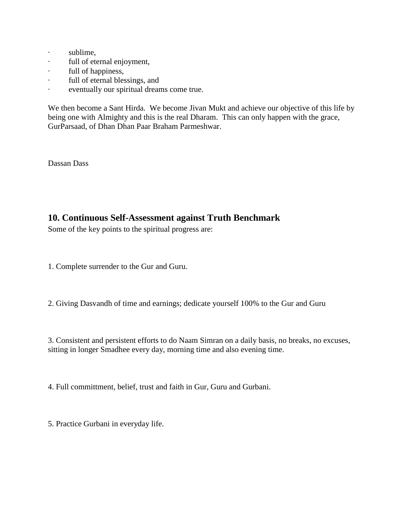- · sublime,
- · full of eternal enjoyment,
- · full of happiness,
- · full of eternal blessings, and
- · eventually our spiritual dreams come true.

We then become a Sant Hirda. We become Jivan Mukt and achieve our objective of this life by being one with Almighty and this is the real Dharam. This can only happen with the grace, GurParsaad, of Dhan Dhan Paar Braham Parmeshwar.

Dassan Dass

# **10. Continuous Self-Assessment against Truth Benchmark**

Some of the key points to the spiritual progress are:

- 1. Complete surrender to the Gur and Guru.
- 2. Giving Dasvandh of time and earnings; dedicate yourself 100% to the Gur and Guru

3. Consistent and persistent efforts to do Naam Simran on a daily basis, no breaks, no excuses, sitting in longer Smadhee every day, morning time and also evening time.

4. Full committment, belief, trust and faith in Gur, Guru and Gurbani.

5. Practice Gurbani in everyday life.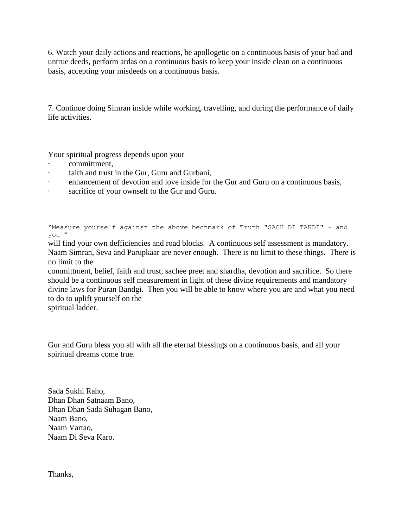6. Watch your daily actions and reactions, be apollogetic on a continuous basis of your bad and untrue deeds, perform ardas on a continuous basis to keep your inside clean on a continuous basis, accepting your misdeeds on a continuous basis.

7. Continue doing Simran inside while working, travelling, and during the performance of daily life activities.

Your spiritual progress depends upon your

- · committment,
- faith and trust in the Gur, Guru and Gurbani,
- enhancement of devotion and love inside for the Gur and Guru on a continuous basis,
- · sacrifice of your ownself to the Gur and Guru.

"Measure yourself against the above becnmark of Truth "SACH DI TAKDI" - and you "

will find your own defficiencies and road blocks. A continuous self assessment is mandatory. Naam Simran, Seva and Parupkaar are never enough. There is no limit to these things. There is no limit to the

committment, belief, faith and trust, sachee preet and shardha, devotion and sacrifice. So there should be a continuous self measurement in light of these divine requirements and mandatory divine laws for Puran Bandgi. Then you will be able to know where you are and what you need to do to uplift yourself on the

spiritual ladder.

Gur and Guru bless you all with all the eternal blessings on a continuous basis, and all your spiritual dreams come true.

Sada Sukhi Raho, Dhan Dhan Satnaam Bano, Dhan Dhan Sada Suhagan Bano, Naam Bano, Naam Vartao, Naam Di Seva Karo.

Thanks,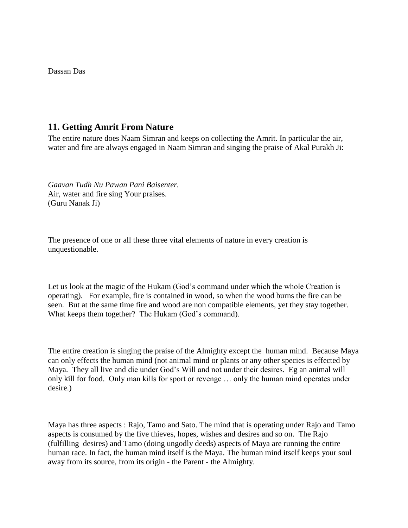Dassan Das

## **11. Getting Amrit From Nature**

The entire nature does Naam Simran and keeps on collecting the Amrit. In particular the air, water and fire are always engaged in Naam Simran and singing the praise of Akal Purakh Ji:

*Gaavan Tudh Nu Pawan Pani Baisenter.* Air, water and fire sing Your praises. (Guru Nanak Ji)

The presence of one or all these three vital elements of nature in every creation is unquestionable.

Let us look at the magic of the Hukam (God's command under which the whole Creation is operating). For example, fire is contained in wood, so when the wood burns the fire can be seen. But at the same time fire and wood are non compatible elements, yet they stay together. What keeps them together? The Hukam (God's command).

The entire creation is singing the praise of the Almighty except the human mind. Because Maya can only effects the human mind (not animal mind or plants or any other species is effected by Maya. They all live and die under God's Will and not under their desires. Eg an animal will only kill for food. Only man kills for sport or revenge … only the human mind operates under desire.)

Maya has three aspects : Rajo, Tamo and Sato. The mind that is operating under Rajo and Tamo aspects is consumed by the five thieves, hopes, wishes and desires and so on. The Rajo (fulfilling desires) and Tamo (doing ungodly deeds) aspects of Maya are running the entire human race. In fact, the human mind itself is the Maya. The human mind itself keeps your soul away from its source, from its origin - the Parent - the Almighty.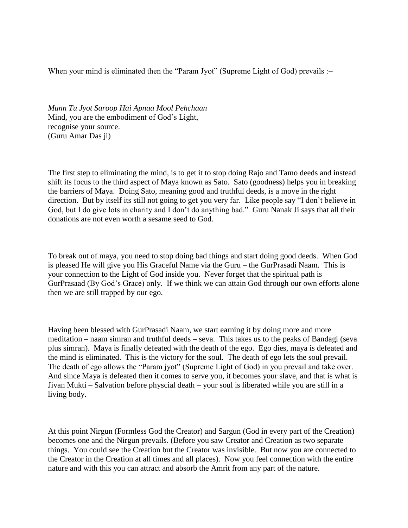When your mind is eliminated then the "Param Jyot" (Supreme Light of God) prevails :-

*Munn Tu Jyot Saroop Hai Apnaa Mool Pehchaan* Mind, you are the embodiment of God's Light, recognise your source. (Guru Amar Das ji)

The first step to eliminating the mind, is to get it to stop doing Rajo and Tamo deeds and instead shift its focus to the third aspect of Maya known as Sato. Sato (goodness) helps you in breaking the barriers of Maya. Doing Sato, meaning good and truthful deeds, is a move in the right direction. But by itself its still not going to get you very far. Like people say "I don't believe in God, but I do give lots in charity and I don't do anything bad." Guru Nanak Ji says that all their donations are not even worth a sesame seed to God.

To break out of maya, you need to stop doing bad things and start doing good deeds. When God is pleased He will give you His Graceful Name via the Guru – the GurPrasadi Naam. This is your connection to the Light of God inside you. Never forget that the spiritual path is GurPrasaad (By God's Grace) only. If we think we can attain God through our own efforts alone then we are still trapped by our ego.

Having been blessed with GurPrasadi Naam, we start earning it by doing more and more meditation – naam simran and truthful deeds – seva. This takes us to the peaks of Bandagi (seva plus simran). Maya is finally defeated with the death of the ego. Ego dies, maya is defeated and the mind is eliminated. This is the victory for the soul. The death of ego lets the soul prevail. The death of ego allows the "Param jyot" (Supreme Light of God) in you prevail and take over. And since Maya is defeated then it comes to serve you, it becomes your slave, and that is what is Jivan Mukti – Salvation before physcial death – your soul is liberated while you are still in a living body.

At this point Nirgun (Formless God the Creator) and Sargun (God in every part of the Creation) becomes one and the Nirgun prevails. (Before you saw Creator and Creation as two separate things. You could see the Creation but the Creator was invisible. But now you are connected to the Creator in the Creation at all times and all places). Now you feel connection with the entire nature and with this you can attract and absorb the Amrit from any part of the nature.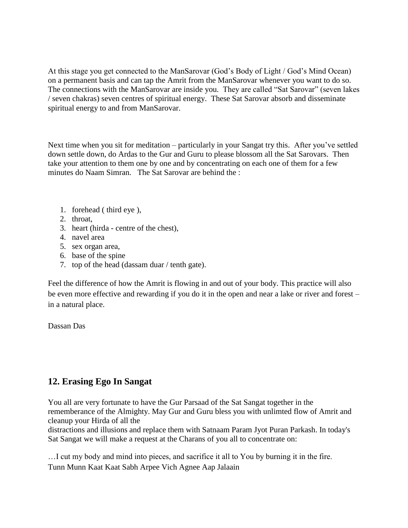At this stage you get connected to the ManSarovar (God's Body of Light / God's Mind Ocean) on a permanent basis and can tap the Amrit from the ManSarovar whenever you want to do so. The connections with the ManSarovar are inside you. They are called "Sat Sarovar" (seven lakes / seven chakras) seven centres of spiritual energy. These Sat Sarovar absorb and disseminate spiritual energy to and from ManSarovar.

Next time when you sit for meditation – particularly in your Sangat try this. After you've settled down settle down, do Ardas to the Gur and Guru to please blossom all the Sat Sarovars. Then take your attention to them one by one and by concentrating on each one of them for a few minutes do Naam Simran. The Sat Sarovar are behind the :

- 1. forehead ( third eye ),
- 2. throat,
- 3. heart (hirda centre of the chest),
- 4. navel area
- 5. sex organ area,
- 6. base of the spine
- 7. top of the head (dassam duar / tenth gate).

Feel the difference of how the Amrit is flowing in and out of your body. This practice will also be even more effective and rewarding if you do it in the open and near a lake or river and forest – in a natural place.

Dassan Das

# **12. Erasing Ego In Sangat**

You all are very fortunate to have the Gur Parsaad of the Sat Sangat together in the rememberance of the Almighty. May Gur and Guru bless you with unlimted flow of Amrit and cleanup your Hirda of all the

distractions and illusions and replace them with Satnaam Param Jyot Puran Parkash. In today's Sat Sangat we will make a request at the Charans of you all to concentrate on:

…I cut my body and mind into pieces, and sacrifice it all to You by burning it in the fire. Tunn Munn Kaat Kaat Sabh Arpee Vich Agnee Aap Jalaain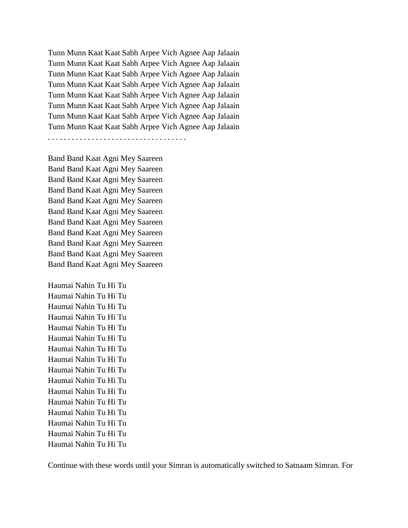Tunn Munn Kaat Kaat Sabh Arpee Vich Agnee Aap Jalaain Tunn Munn Kaat Kaat Sabh Arpee Vich Agnee Aap Jalaain Tunn Munn Kaat Kaat Sabh Arpee Vich Agnee Aap Jalaain Tunn Munn Kaat Kaat Sabh Arpee Vich Agnee Aap Jalaain Tunn Munn Kaat Kaat Sabh Arpee Vich Agnee Aap Jalaain Tunn Munn Kaat Kaat Sabh Arpee Vich Agnee Aap Jalaain Tunn Munn Kaat Kaat Sabh Arpee Vich Agnee Aap Jalaain Tunn Munn Kaat Kaat Sabh Arpee Vich Agnee Aap Jalaain

. . . . . . . . . . . . . . . . . . . . . . . . . . . . . . . . . . .

Band Band Kaat Agni Mey Saareen Band Band Kaat Agni Mey Saareen Band Band Kaat Agni Mey Saareen Band Band Kaat Agni Mey Saareen Band Band Kaat Agni Mey Saareen Band Band Kaat Agni Mey Saareen Band Band Kaat Agni Mey Saareen Band Band Kaat Agni Mey Saareen Band Band Kaat Agni Mey Saareen Band Band Kaat Agni Mey Saareen Band Band Kaat Agni Mey Saareen

Haumai Nahin Tu Hi Tu Haumai Nahin Tu Hi Tu Haumai Nahin Tu Hi Tu Haumai Nahin Tu Hi Tu Haumai Nahin Tu Hi Tu Haumai Nahin Tu Hi Tu Haumai Nahin Tu Hi Tu Haumai Nahin Tu Hi Tu Haumai Nahin Tu Hi Tu Haumai Nahin Tu Hi Tu Haumai Nahin Tu Hi Tu Haumai Nahin Tu Hi Tu Haumai Nahin Tu Hi Tu Haumai Nahin Tu Hi Tu Haumai Nahin Tu Hi Tu Haumai Nahin Tu Hi Tu

Continue with these words until your Simran is automatically switched to Satnaam Simran. For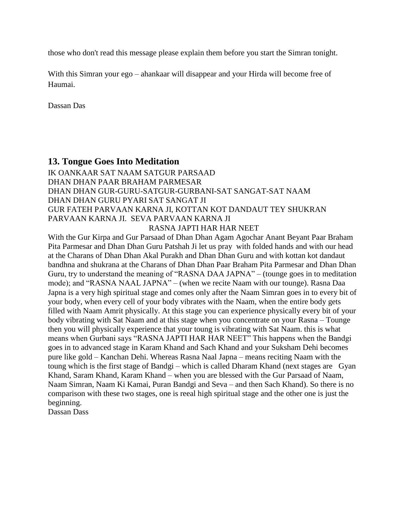those who don't read this message please explain them before you start the Simran tonight.

With this Simran your ego – ahankaar will disappear and your Hirda will become free of Haumai.

Dassan Das

## **13. Tongue Goes Into Meditation**

# IK OANKAAR SAT NAAM SATGUR PARSAAD DHAN DHAN PAAR BRAHAM PARMESAR DHAN DHAN GUR-GURU-SATGUR-GURBANI-SAT SANGAT-SAT NAAM DHAN DHAN GURU PYARI SAT SANGAT JI GUR FATEH PARVAAN KARNA JI, KOTTAN KOT DANDAUT TEY SHUKRAN PARVAAN KARNA JI. SEVA PARVAAN KARNA JI

#### RASNA JAPTI HAR HAR NEET

With the Gur Kirpa and Gur Parsaad of Dhan Dhan Agam Agochar Anant Beyant Paar Braham Pita Parmesar and Dhan Dhan Guru Patshah Ji let us pray with folded hands and with our head at the Charans of Dhan Dhan Akal Purakh and Dhan Dhan Guru and with kottan kot dandaut bandhna and shukrana at the Charans of Dhan Dhan Paar Braham Pita Parmesar and Dhan Dhan Guru, try to understand the meaning of "RASNA DAA JAPNA" – (tounge goes in to meditation mode); and "RASNA NAAL JAPNA" – (when we recite Naam with our tounge). Rasna Daa Japna is a very high spiritual stage and comes only after the Naam Simran goes in to every bit of your body, when every cell of your body vibrates with the Naam, when the entire body gets filled with Naam Amrit physically. At this stage you can experience physically every bit of your body vibrating with Sat Naam and at this stage when you concentrate on your Rasna – Tounge then you will physically experience that your toung is vibrating with Sat Naam. this is what means when Gurbani says "RASNA JAPTI HAR HAR NEET" This happens when the Bandgi goes in to advanced stage in Karam Khand and Sach Khand and your Suksham Dehi becomes pure like gold – Kanchan Dehi. Whereas Rasna Naal Japna – means reciting Naam with the toung which is the first stage of Bandgi – which is called Dharam Khand (next stages are Gyan Khand, Saram Khand, Karam Khand – when you are blessed with the Gur Parsaad of Naam, Naam Simran, Naam Ki Kamai, Puran Bandgi and Seva – and then Sach Khand). So there is no comparison with these two stages, one is reeal high spiritual stage and the other one is just the beginning.

Dassan Dass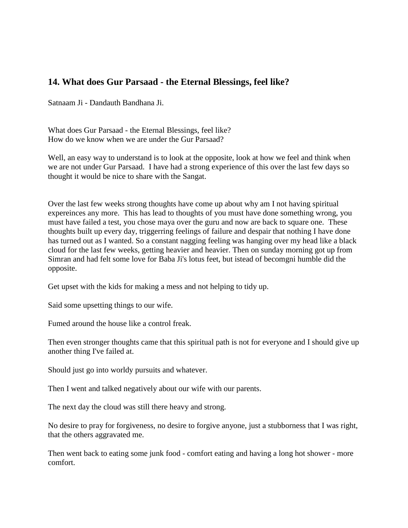# **14. What does Gur Parsaad - the Eternal Blessings, feel like?**

Satnaam Ji - Dandauth Bandhana Ji.

What does Gur Parsaad - the Eternal Blessings, feel like? How do we know when we are under the Gur Parsaad?

Well, an easy way to understand is to look at the opposite, look at how we feel and think when we are not under Gur Parsaad. I have had a strong experience of this over the last few days so thought it would be nice to share with the Sangat.

Over the last few weeks strong thoughts have come up about why am I not having spiritual expereinces any more. This has lead to thoughts of you must have done something wrong, you must have failed a test, you chose maya over the guru and now are back to square one. These thoughts built up every day, triggerring feelings of failure and despair that nothing I have done has turned out as I wanted. So a constant nagging feeling was hanging over my head like a black cloud for the last few weeks, getting heavier and heavier. Then on sunday morning got up from Simran and had felt some love for Baba Ji's lotus feet, but istead of becomgni humble did the opposite.

Get upset with the kids for making a mess and not helping to tidy up.

Said some upsetting things to our wife.

Fumed around the house like a control freak.

Then even stronger thoughts came that this spiritual path is not for everyone and I should give up another thing I've failed at.

Should just go into worldy pursuits and whatever.

Then I went and talked negatively about our wife with our parents.

The next day the cloud was still there heavy and strong.

No desire to pray for forgiveness, no desire to forgive anyone, just a stubborness that I was right, that the others aggravated me.

Then went back to eating some junk food - comfort eating and having a long hot shower - more comfort.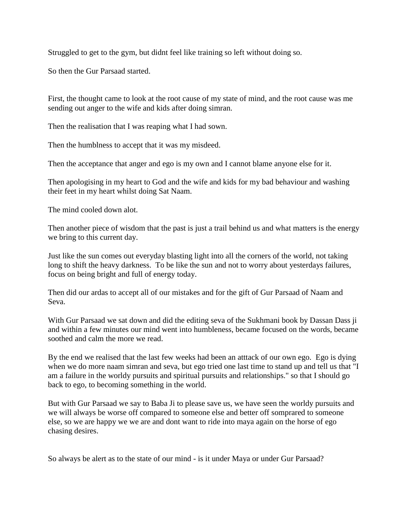Struggled to get to the gym, but didnt feel like training so left without doing so.

So then the Gur Parsaad started.

First, the thought came to look at the root cause of my state of mind, and the root cause was me sending out anger to the wife and kids after doing simran.

Then the realisation that I was reaping what I had sown.

Then the humblness to accept that it was my misdeed.

Then the acceptance that anger and ego is my own and I cannot blame anyone else for it.

Then apologising in my heart to God and the wife and kids for my bad behaviour and washing their feet in my heart whilst doing Sat Naam.

The mind cooled down alot.

Then another piece of wisdom that the past is just a trail behind us and what matters is the energy we bring to this current day.

Just like the sun comes out everyday blasting light into all the corners of the world, not taking long to shift the heavy darkness. To be like the sun and not to worry about yesterdays failures, focus on being bright and full of energy today.

Then did our ardas to accept all of our mistakes and for the gift of Gur Parsaad of Naam and Seva.

With Gur Parsaad we sat down and did the editing seva of the Sukhmani book by Dassan Dass ji and within a few minutes our mind went into humbleness, became focused on the words, became soothed and calm the more we read.

By the end we realised that the last few weeks had been an atttack of our own ego. Ego is dying when we do more naam simran and seva, but ego tried one last time to stand up and tell us that "I am a failure in the worldy pursuits and spiritual pursuits and relationships." so that I should go back to ego, to becoming something in the world.

But with Gur Parsaad we say to Baba Ji to please save us, we have seen the worldy pursuits and we will always be worse off compared to someone else and better off somprared to someone else, so we are happy we we are and dont want to ride into maya again on the horse of ego chasing desires.

So always be alert as to the state of our mind - is it under Maya or under Gur Parsaad?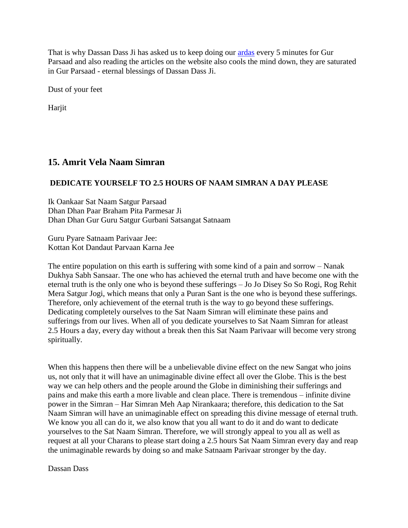That is why Dassan Dass Ji has asked us to keep doing our [ardas](http://www.satnaam.info/index.php?option=com_content&task=view&id=59&Itemid=14) every 5 minutes for Gur Parsaad and also reading the articles on the website also cools the mind down, they are saturated in Gur Parsaad - eternal blessings of Dassan Dass Ji.

Dust of your feet

Harjit

# **15. Amrit Vela Naam Simran**

## **DEDICATE YOURSELF TO 2.5 HOURS OF NAAM SIMRAN A DAY PLEASE**

Ik Oankaar Sat Naam Satgur Parsaad Dhan Dhan Paar Braham Pita Parmesar Ji Dhan Dhan Gur Guru Satgur Gurbani Satsangat Satnaam

Guru Pyare Satnaam Parivaar Jee: Kottan Kot Dandaut Parvaan Karna Jee

The entire population on this earth is suffering with some kind of a pain and sorrow – Nanak Dukhya Sabh Sansaar. The one who has achieved the eternal truth and have become one with the eternal truth is the only one who is beyond these sufferings – Jo Jo Disey So So Rogi, Rog Rehit Mera Satgur Jogi, which means that only a Puran Sant is the one who is beyond these sufferings. Therefore, only achievement of the eternal truth is the way to go beyond these sufferings. Dedicating completely ourselves to the Sat Naam Simran will eliminate these pains and sufferings from our lives. When all of you dedicate yourselves to Sat Naam Simran for atleast 2.5 Hours a day, every day without a break then this Sat Naam Parivaar will become very strong spiritually.

When this happens then there will be a unbelievable divine effect on the new Sangat who joins us, not only that it will have an unimaginable divine effect all over the Globe. This is the best way we can help others and the people around the Globe in diminishing their sufferings and pains and make this earth a more livable and clean place. There is tremendous – infinite divine power in the Simran – Har Simran Meh Aap Nirankaara; therefore, this dedication to the Sat Naam Simran will have an unimaginable effect on spreading this divine message of eternal truth. We know you all can do it, we also know that you all want to do it and do want to dedicate yourselves to the Sat Naam Simran. Therefore, we will strongly appeal to you all as well as request at all your Charans to please start doing a 2.5 hours Sat Naam Simran every day and reap the unimaginable rewards by doing so and make Satnaam Parivaar stronger by the day.

Dassan Dass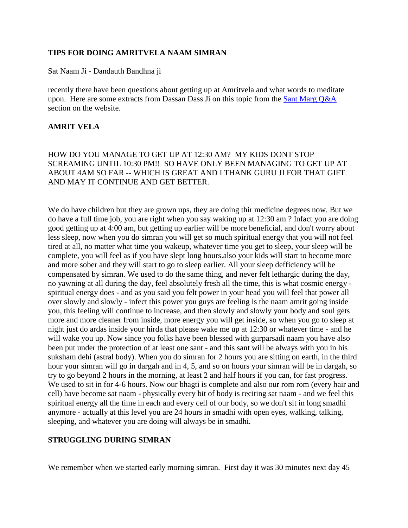#### **TIPS FOR DOING AMRITVELA NAAM SIMRAN**

Sat Naam Ji - Dandauth Bandhna ji

recently there have been questions about getting up at Amritvela and what words to meditate upon. Here are some extracts from Dassan Dass Ji on this topic from the **Sant Marg Q&A** section on the website.

### **AMRIT VELA**

HOW DO YOU MANAGE TO GET UP AT 12:30 AM? MY KIDS DONT STOP SCREAMING UNTIL 10:30 PM!! SO HAVE ONLY BEEN MANAGING TO GET UP AT ABOUT 4AM SO FAR -- WHICH IS GREAT AND I THANK GURU JI FOR THAT GIFT AND MAY IT CONTINUE AND GET BETTER.

We do have children but they are grown ups, they are doing thir medicine degrees now. But we do have a full time job, you are right when you say waking up at 12:30 am ? Infact you are doing good getting up at 4:00 am, but getting up earlier will be more beneficial, and don't worry about less sleep, now when you do simran you will get so much spiritual energy that you will not feel tired at all, no matter what time you wakeup, whatever time you get to sleep, your sleep will be complete, you will feel as if you have slept long hours.also your kids will start to become more and more sober and they will start to go to sleep earlier. All your sleep defficiency will be compensated by simran. We used to do the same thing, and never felt lethargic during the day, no yawning at all during the day, feel absolutely fresh all the time, this is what cosmic energy spiritual energy does - and as you said you felt power in your head you will feel that power all over slowly and slowly - infect this power you guys are feeling is the naam amrit going inside you, this feeling will continue to increase, and then slowly and slowly your body and soul gets more and more cleaner from inside, more energy you will get inside, so when you go to sleep at night just do ardas inside your hirda that please wake me up at 12:30 or whatever time - and he will wake you up. Now since you folks have been blessed with gurparsadi naam you have also been put under the protection of at least one sant - and this sant will be always with you in his suksham dehi (astral body). When you do simran for 2 hours you are sitting on earth, in the third hour your simran will go in dargah and in 4, 5, and so on hours your simran will be in dargah, so try to go beyond 2 hours in the morning, at least 2 and half hours if you can, for fast progress. We used to sit in for 4-6 hours. Now our bhagti is complete and also our rom rom (every hair and cell) have become sat naam - physically every bit of body is reciting sat naam - and we feel this spiritual energy all the time in each and every cell of our body, so we don't sit in long smadhi anymore - actually at this level you are 24 hours in smadhi with open eyes, walking, talking, sleeping, and whatever you are doing will always be in smadhi.

### **STRUGGLING DURING SIMRAN**

We remember when we started early morning simran. First day it was 30 minutes next day 45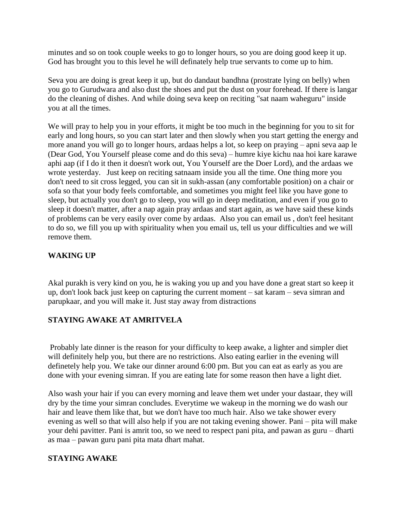minutes and so on took couple weeks to go to longer hours, so you are doing good keep it up. God has brought you to this level he will definately help true servants to come up to him.

Seva you are doing is great keep it up, but do dandaut bandhna (prostrate lying on belly) when you go to Gurudwara and also dust the shoes and put the dust on your forehead. If there is langar do the cleaning of dishes. And while doing seva keep on reciting "sat naam waheguru" inside you at all the times.

We will pray to help you in your efforts, it might be too much in the beginning for you to sit for early and long hours, so you can start later and then slowly when you start getting the energy and more anand you will go to longer hours, ardaas helps a lot, so keep on praying – apni seva aap le (Dear God, You Yourself please come and do this seva) – humre kiye kichu naa hoi kare karawe aphi aap (if I do it then it doesn't work out, You Yourself are the Doer Lord), and the ardaas we wrote yesterday. Just keep on reciting satnaam inside you all the time. One thing more you don't need to sit cross legged, you can sit in sukh-assan (any comfortable position) on a chair or sofa so that your body feels comfortable, and sometimes you might feel like you have gone to sleep, but actually you don't go to sleep, you will go in deep meditation, and even if you go to sleep it doesn't matter, after a nap again pray ardaas and start again, as we have said these kinds of problems can be very easily over come by ardaas. Also you can email us , don't feel hesitant to do so, we fill you up with spirituality when you email us, tell us your difficulties and we will remove them.

### **WAKING UP**

Akal purakh is very kind on you, he is waking you up and you have done a great start so keep it up, don't look back just keep on capturing the current moment – sat karam – seva simran and parupkaar, and you will make it. Just stay away from distractions

### **STAYING AWAKE AT AMRITVELA**

Probably late dinner is the reason for your difficulty to keep awake, a lighter and simpler diet will definitely help you, but there are no restrictions. Also eating earlier in the evening will definetely help you. We take our dinner around 6:00 pm. But you can eat as early as you are done with your evening simran. If you are eating late for some reason then have a light diet.

Also wash your hair if you can every morning and leave them wet under your dastaar, they will dry by the time your simran concludes. Everytime we wakeup in the morning we do wash our hair and leave them like that, but we don't have too much hair. Also we take shower every evening as well so that will also help if you are not taking evening shower. Pani – pita will make your dehi pavitter. Pani is amrit too, so we need to respect pani pita, and pawan as guru – dharti as maa – pawan guru pani pita mata dhart mahat.

# **STAYING AWAKE**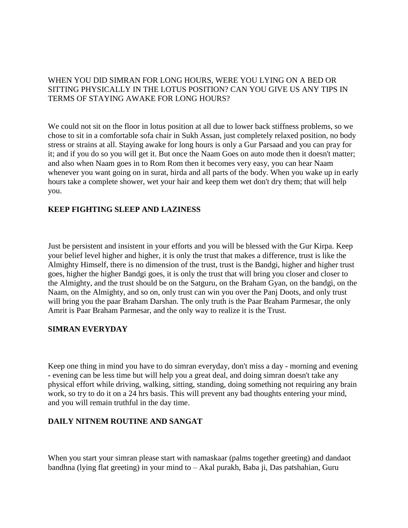### WHEN YOU DID SIMRAN FOR LONG HOURS, WERE YOU LYING ON A BED OR SITTING PHYSICALLY IN THE LOTUS POSITION? CAN YOU GIVE US ANY TIPS IN TERMS OF STAYING AWAKE FOR LONG HOURS?

We could not sit on the floor in lotus position at all due to lower back stiffness problems, so we chose to sit in a comfortable sofa chair in Sukh Assan, just completely relaxed position, no body stress or strains at all. Staying awake for long hours is only a Gur Parsaad and you can pray for it; and if you do so you will get it. But once the Naam Goes on auto mode then it doesn't matter; and also when Naam goes in to Rom Rom then it becomes very easy, you can hear Naam whenever you want going on in surat, hirda and all parts of the body. When you wake up in early hours take a complete shower, wet your hair and keep them wet don't dry them; that will help you.

### **KEEP FIGHTING SLEEP AND LAZINESS**

Just be persistent and insistent in your efforts and you will be blessed with the Gur Kirpa. Keep your belief level higher and higher, it is only the trust that makes a difference, trust is like the Almighty Himself, there is no dimension of the trust, trust is the Bandgi, higher and higher trust goes, higher the higher Bandgi goes, it is only the trust that will bring you closer and closer to the Almighty, and the trust should be on the Satguru, on the Braham Gyan, on the bandgi, on the Naam, on the Almighty, and so on, only trust can win you over the Panj Doots, and only trust will bring you the paar Braham Darshan. The only truth is the Paar Braham Parmesar, the only Amrit is Paar Braham Parmesar, and the only way to realize it is the Trust.

### **SIMRAN EVERYDAY**

Keep one thing in mind you have to do simran everyday, don't miss a day - morning and evening - evening can be less time but will help you a great deal, and doing simran doesn't take any physical effort while driving, walking, sitting, standing, doing something not requiring any brain work, so try to do it on a 24 hrs basis. This will prevent any bad thoughts entering your mind, and you will remain truthful in the day time.

#### **DAILY NITNEM ROUTINE AND SANGAT**

When you start your simran please start with namaskaar (palms together greeting) and dandaot bandhna (lying flat greeting) in your mind to – Akal purakh, Baba ji, Das patshahian, Guru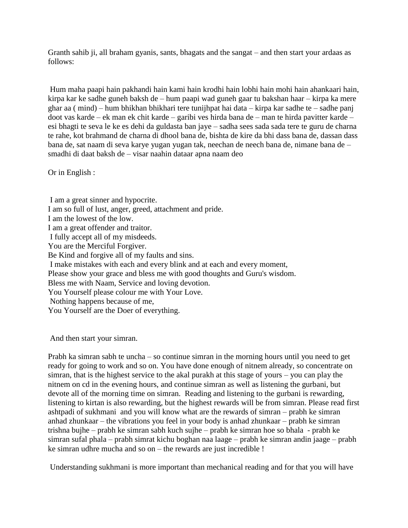Granth sahib ji, all braham gyanis, sants, bhagats and the sangat – and then start your ardaas as follows:

Hum maha paapi hain pakhandi hain kami hain krodhi hain lobhi hain mohi hain ahankaari hain, kirpa kar ke sadhe guneh baksh de – hum paapi wad guneh gaar tu bakshan haar – kirpa ka mere ghar aa ( mind) – hum bhikhan bhikhari tere tunijhpat hai data – kirpa kar sadhe te – sadhe panj doot vas karde – ek man ek chit karde – garibi ves hirda bana de – man te hirda pavitter karde – esi bhagti te seva le ke es dehi da guldasta ban jaye – sadha sees sada sada tere te guru de charna te rahe, kot brahmand de charna di dhool bana de, bishta de kire da bhi dass bana de, dassan dass bana de, sat naam di seva karye yugan yugan tak, neechan de neech bana de, nimane bana de – smadhi di daat baksh de – visar naahin dataar apna naam deo

Or in English :

I am a great sinner and hypocrite. I am so full of lust, anger, greed, attachment and pride. I am the lowest of the low. I am a great offender and traitor. I fully accept all of my misdeeds. You are the Merciful Forgiver. Be Kind and forgive all of my faults and sins. I make mistakes with each and every blink and at each and every moment, Please show your grace and bless me with good thoughts and Guru's wisdom. Bless me with Naam, Service and loving devotion. You Yourself please colour me with Your Love. Nothing happens because of me, You Yourself are the Doer of everything.

And then start your simran.

Prabh ka simran sabh te uncha – so continue simran in the morning hours until you need to get ready for going to work and so on. You have done enough of nitnem already, so concentrate on simran, that is the highest service to the akal purakh at this stage of yours – you can play the nitnem on cd in the evening hours, and continue simran as well as listening the gurbani, but devote all of the morning time on simran. Reading and listening to the gurbani is rewarding, listening to kirtan is also rewarding, but the highest rewards will be from simran. Please read first ashtpadi of sukhmani and you will know what are the rewards of simran – prabh ke simran anhad zhunkaar – the vibrations you feel in your body is anhad zhunkaar – prabh ke simran trishna bujhe – prabh ke simran sabh kuch sujhe – prabh ke simran hoe so bhala - prabh ke simran sufal phala – prabh simrat kichu boghan naa laage – prabh ke simran andin jaage – prabh ke simran udhre mucha and so on – the rewards are just incredible !

Understanding sukhmani is more important than mechanical reading and for that you will have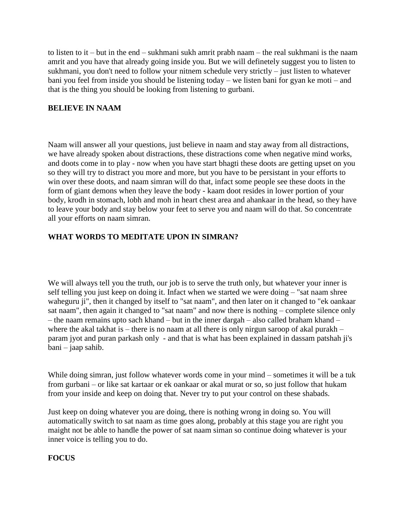to listen to it – but in the end – sukhmani sukh amrit prabh naam – the real sukhmani is the naam amrit and you have that already going inside you. But we will definetely suggest you to listen to sukhmani, you don't need to follow your nitnem schedule very strictly – just listen to whatever bani you feel from inside you should be listening today – we listen bani for gyan ke moti – and that is the thing you should be looking from listening to gurbani.

### **BELIEVE IN NAAM**

Naam will answer all your questions, just believe in naam and stay away from all distractions, we have already spoken about distractions, these distractions come when negative mind works, and doots come in to play - now when you have start bhagti these doots are getting upset on you so they will try to distract you more and more, but you have to be persistant in your efforts to win over these doots, and naam simran will do that, infact some people see these doots in the form of giant demons when they leave the body - kaam doot resides in lower portion of your body, krodh in stomach, lobh and moh in heart chest area and ahankaar in the head, so they have to leave your body and stay below your feet to serve you and naam will do that. So concentrate all your efforts on naam simran.

### **WHAT WORDS TO MEDITATE UPON IN SIMRAN?**

We will always tell you the truth, our job is to serve the truth only, but whatever your inner is self telling you just keep on doing it. Infact when we started we were doing – "sat naam shree waheguru ji", then it changed by itself to "sat naam", and then later on it changed to "ek oankaar sat naam", then again it changed to "sat naam" and now there is nothing – complete silence only – the naam remains upto sach khand – but in the inner dargah – also called braham khand – where the akal takhat is – there is no naam at all there is only nirgun saroop of akal purakh – param jyot and puran parkash only - and that is what has been explained in dassam patshah ji's bani – jaap sahib.

While doing simran, just follow whatever words come in your mind – sometimes it will be a tuk from gurbani – or like sat kartaar or ek oankaar or akal murat or so, so just follow that hukam from your inside and keep on doing that. Never try to put your control on these shabads.

Just keep on doing whatever you are doing, there is nothing wrong in doing so. You will automatically switch to sat naam as time goes along, probably at this stage you are right you maight not be able to handle the power of sat naam siman so continue doing whatever is your inner voice is telling you to do.

#### **FOCUS**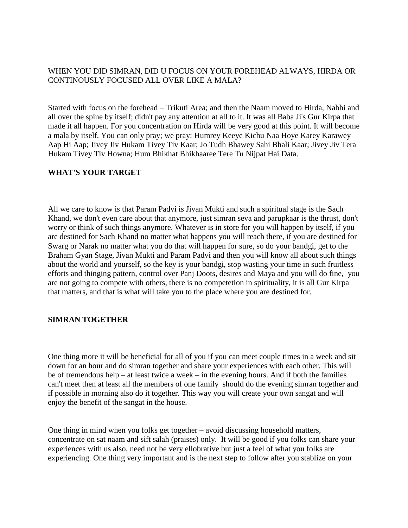## WHEN YOU DID SIMRAN, DID U FOCUS ON YOUR FOREHEAD ALWAYS, HIRDA OR CONTINOUSLY FOCUSED ALL OVER LIKE A MALA?

Started with focus on the forehead – Trikuti Area; and then the Naam moved to Hirda, Nabhi and all over the spine by itself; didn't pay any attention at all to it. It was all Baba Ji's Gur Kirpa that made it all happen. For you concentration on Hirda will be very good at this point. It will become a mala by itself. You can only pray; we pray: Humrey Keeye Kichu Naa Hoye Karey Karawey Aap Hi Aap; Jivey Jiv Hukam Tivey Tiv Kaar; Jo Tudh Bhawey Sahi Bhali Kaar; Jivey Jiv Tera Hukam Tivey Tiv Howna; Hum Bhikhat Bhikhaaree Tere Tu Nijpat Hai Data.

## **WHAT'S YOUR TARGET**

All we care to know is that Param Padvi is Jivan Mukti and such a spiritual stage is the Sach Khand, we don't even care about that anymore, just simran seva and parupkaar is the thrust, don't worry or think of such things anymore. Whatever is in store for you will happen by itself, if you are destined for Sach Khand no matter what happens you will reach there, if you are destined for Swarg or Narak no matter what you do that will happen for sure, so do your bandgi, get to the Braham Gyan Stage, Jivan Mukti and Param Padvi and then you will know all about such things about the world and yourself, so the key is your bandgi, stop wasting your time in such fruitless efforts and thinging pattern, control over Panj Doots, desires and Maya and you will do fine, you are not going to compete with others, there is no competetion in spirituality, it is all Gur Kirpa that matters, and that is what will take you to the place where you are destined for.

### **SIMRAN TOGETHER**

One thing more it will be beneficial for all of you if you can meet couple times in a week and sit down for an hour and do simran together and share your experiences with each other. This will be of tremendous help – at least twice a week – in the evening hours. And if both the families can't meet then at least all the members of one family should do the evening simran together and if possible in morning also do it together. This way you will create your own sangat and will enjoy the benefit of the sangat in the house.

One thing in mind when you folks get together – avoid discussing household matters, concentrate on sat naam and sift salah (praises) only. It will be good if you folks can share your experiences with us also, need not be very ellobrative but just a feel of what you folks are experiencing. One thing very important and is the next step to follow after you stablize on your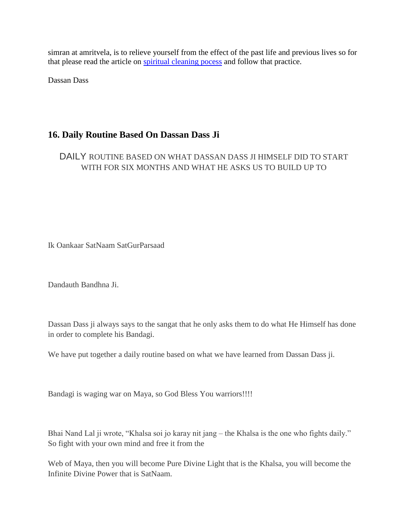simran at amritvela, is to relieve yourself from the effect of the past life and previous lives so for that please read the article on [spiritual cleaning pocess](http://satnaam.info/index.php?option=com_content&task=view&id=63&Itemid=14) and follow that practice.

Dassan Dass

# **16. Daily Routine Based On Dassan Dass Ji**

DAILY ROUTINE BASED ON WHAT DASSAN DASS JI HIMSELF DID TO START WITH FOR SIX MONTHS AND WHAT HE ASKS US TO BUILD UP TO

Ik Oankaar SatNaam SatGurParsaad

Dandauth Bandhna Ji.

Dassan Dass ji always says to the sangat that he only asks them to do what He Himself has done in order to complete his Bandagi.

We have put together a daily routine based on what we have learned from Dassan Dass ji.

Bandagi is waging war on Maya, so God Bless You warriors!!!!

Bhai Nand Lal ji wrote, "Khalsa soi jo karay nit jang – the Khalsa is the one who fights daily." So fight with your own mind and free it from the

Web of Maya, then you will become Pure Divine Light that is the Khalsa, you will become the Infinite Divine Power that is SatNaam.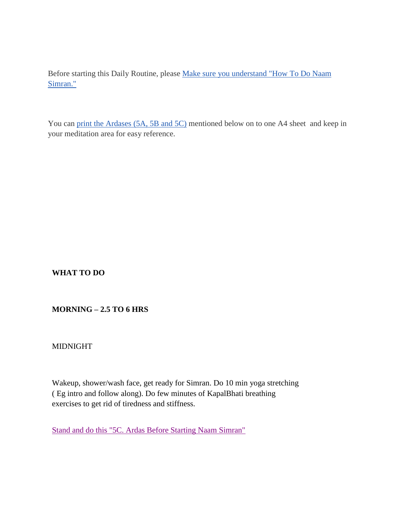Before starting this Daily Routine, please [Make sure you understand "How To Do Naam](http://satnaam.info/component/content/61.html?task=view)  [Simran."](http://satnaam.info/component/content/61.html?task=view)

You can [print the Ardases \(5A, 5B and 5C\)](http://satnaam.info/component/content/2257.html?task=view) mentioned below on to one A4 sheet and keep in your meditation area for easy reference.

**WHAT TO DO**

# **MORNING – 2.5 TO 6 HRS**

MIDNIGHT

Wakeup, shower/wash face, get ready for Simran. Do 10 min yoga stretching ( Eg intro and follow along). Do few minutes of KapalBhati breathing exercises to get rid of tiredness and stiffness.

[Stand and do this "5C. Ardas Before Starting Naam Simran"](http://satnaam.info/component/content/1934.html?task=view)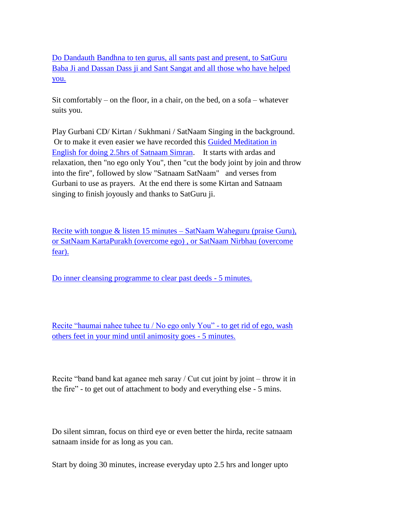[Do Dandauth Bandhna to ten gurus, all sants past and present, to SatGuru](http://satnaam.info/component/content/1893.html?task=view)  [Baba Ji and Dassan Dass ji and Sant Sangat and all those who have helped](http://satnaam.info/component/content/1893.html?task=view)  [you.](http://satnaam.info/component/content/1893.html?task=view)

Sit comfortably – on the floor, in a chair, on the bed, on a sofa – whatever suits you.

Play Gurbani CD/ Kirtan / Sukhmani / SatNaam Singing in the background. Or to make it even easier we have recorded this [Guided Meditation in](https://satnaam.box.com/s/f4f1b3521fb1135761ee)  [English for doing 2.5hrs of Satnaam Simran.](https://satnaam.box.com/s/f4f1b3521fb1135761ee) It starts with ardas and relaxation, then "no ego only You", then "cut the body joint by join and throw into the fire", followed by slow "Satnaam SatNaam" and verses from Gurbani to use as prayers. At the end there is some Kirtan and Satnaam singing to finish joyously and thanks to SatGuru ji.

[Recite with tongue & listen 15 minutes –](http://satnaam.info/component/content/1871.html?task=view) SatNaam Waheguru (praise Guru), [or SatNaam KartaPurakh \(overcome ego\) , or SatNaam Nirbhau \(overcome](http://satnaam.info/component/content/1871.html?task=view)  [fear\).](http://satnaam.info/component/content/1871.html?task=view)

[Do inner cleansing programme to clear past deeds -](http://satnaam.info/component/content/63.html?task=view) 5 minutes.

[Recite "haumai nahee tuhee tu / No ego only You" -](http://satnaam.info/component/content/52.html?task=view) to get rid of ego, wash [others feet in your mind until animosity goes -](http://satnaam.info/component/content/52.html?task=view) 5 minutes.

Recite "band band kat aganee meh saray / Cut cut joint by joint – throw it in the fire" - to get out of attachment to body and everything else - 5 mins.

Do silent simran, focus on third eye or even better the hirda, recite satnaam satnaam inside for as long as you can.

Start by doing 30 minutes, increase everyday upto 2.5 hrs and longer upto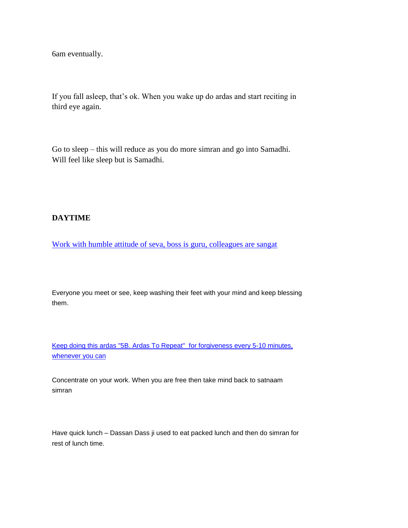6am eventually.

If you fall asleep, that's ok. When you wake up do ardas and start reciting in third eye again.

Go to sleep – this will reduce as you do more simran and go into Samadhi. Will feel like sleep but is Samadhi.

### **DAYTIME**

[Work with humble attitude of seva, boss is guru, colleagues are sangat](http://satnaam.info/component/content/2143.html?task=view)

Everyone you meet or see, keep washing their feet with your mind and keep blessing them.

[Keep doing this ardas "5B. Ardas To Repeat"](http://satnaam.info/component/content/59.html?task=view) for forgiveness every 5-10 minutes, [whenever you can](http://satnaam.info/component/content/59.html?task=view)

Concentrate on your work. When you are free then take mind back to satnaam simran

Have quick lunch – Dassan Dass ji used to eat packed lunch and then do simran for rest of lunch time.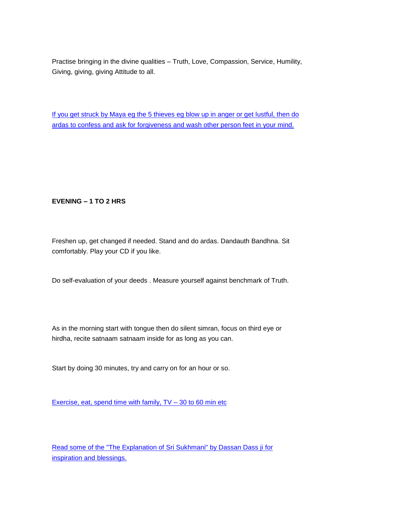Practise bringing in the divine qualities – Truth, Love, Compassion, Service, Humility, Giving, giving, giving Attitude to all.

[If you get struck by Maya eg the 5 thieves eg blow up in anger or get lustful, then do](http://satnaam.info/component/content/9.html?task=category§ionid=2)  [ardas to confess and ask for forgiveness and wash other person feet in your mind.](http://satnaam.info/component/content/9.html?task=category§ionid=2)

#### **EVENING – 1 TO 2 HRS**

Freshen up, get changed if needed. Stand and do ardas. Dandauth Bandhna. Sit comfortably. Play your CD if you like.

Do self-evaluation of your deeds . Measure yourself against benchmark of Truth.

As in the morning start with tongue then do silent simran, focus on third eye or hirdha, recite satnaam satnaam inside for as long as you can.

Start by doing 30 minutes, try and carry on for an hour or so.

Exercise, eat, spend time with family,  $TV - 30$  to 60 min etc

[Read some of the "The Explanation of Sri Sukhmani" by Dassan Dass ji](http://sukhmani.info/index.php?option=com_content&view=article&id=47&Itemid=64) for [inspiration and blessings.](http://sukhmani.info/index.php?option=com_content&view=article&id=47&Itemid=64)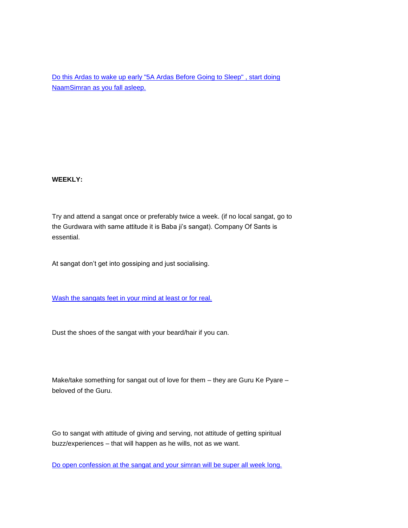Do this [Ardas to wake up early "5A Ardas Before Going to Sleep" , start doing](http://satnaam.info/component/content/60.html?task=view)  [NaamSimran as you fall asleep.](http://satnaam.info/component/content/60.html?task=view)

#### **WEEKLY:**

Try and attend a sangat once or preferably twice a week. (if no local sangat, go to the Gurdwara with same attitude it is Baba ji's sangat). Company Of Sants is essential.

At sangat don't get into gossiping and just socialising.

[Wash the sangats feet in your mind at least or for real.](http://satnaam.info/component/content/2136.html?task=view)

Dust the shoes of the sangat with your beard/hair if you can.

Make/take something for sangat out of love for them – they are Guru Ke Pyare – beloved of the Guru.

Go to sangat with attitude of giving and serving, not attitude of getting spiritual buzz/experiences – that will happen as he wills, not as we want.

[Do open confession at the sangat and your simran will be super all week long.](http://satnaam.info/component/content/1153.html?task=view)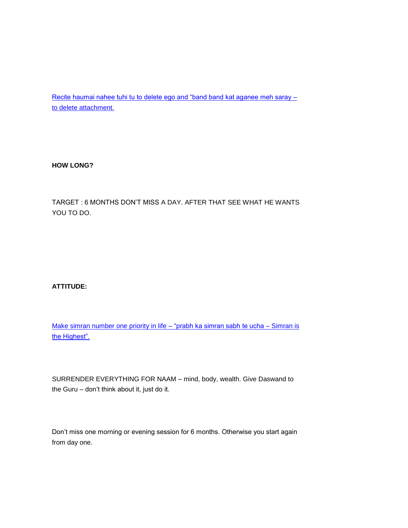[Recite haumai nahee tuhi tu to delete ego and "band band kat aganee meh saray –](http://satnaam.info/component/content/52.html?task=view) [to delete attachment.](http://satnaam.info/component/content/52.html?task=view)

**HOW LONG?**

TARGET : 6 MONTHS DON'T MISS A DAY. AFTER THAT SEE WHAT HE WANTS YOU TO DO.

**ATTITUDE:**

[Make simran number one priority in life –](http://satnaam.info/component/content/241.html?task=view) "prabh ka simran sabh te ucha – Simran is [the Highest".](http://satnaam.info/component/content/241.html?task=view)

SURRENDER EVERYTHING FOR NAAM – mind, body, wealth. Give Daswand to the Guru – don't think about it, just do it.

Don't miss one morning or evening session for 6 months. Otherwise you start again from day one.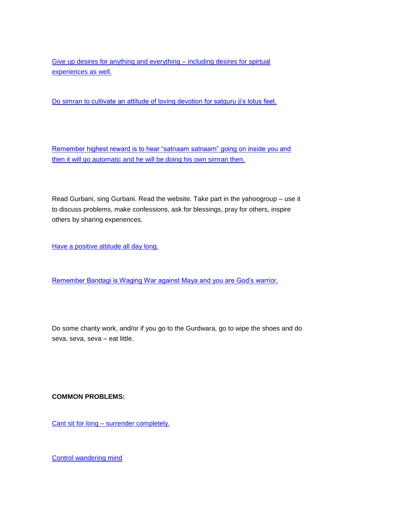[Give up desires for anything and everything –](http://satnaam.info/component/content/1981.html?task=view) including desires for spirtual [experiences as well.](http://satnaam.info/component/content/1981.html?task=view)

[Do simran to cultivate an attitude of loving devotion for satguru ji's lotus feet.](http://satnaam.info/component/content/1769.html?task=view)

[Remember highest reward is to hear "satnaam satnaam" going on inside you and](http://satnaam.info/component/content/58.html?task=view)  then it will go automatic and [he will be doing his own simran then.](http://satnaam.info/component/content/58.html?task=view)

Read Gurbani, sing Gurbani. Read the website. Take part in the yahoogroup – use it to discuss problems, make confessions, ask for blessings, pray for others, inspire others by sharing experiences.

[Have a positive attitude all day long.](http://satnaam.info/component/content/35.html?task=view)

[Remember Bandagi is Waging War against Maya and you are God's warrior.](http://satnaam.info/component/content/81.html?task=view)

Do some charity work, and/or if you go to the Gurdwara, go to wipe the shoes and do seva, seva, seva – eat little.

#### **COMMON PROBLEMS:**

Cant sit for long – [surrender completely.](http://satnaam.info/component/content/1831.html?task=view)

[Control wandering mind](http://satnaam.info/component/content/57.html?task=view)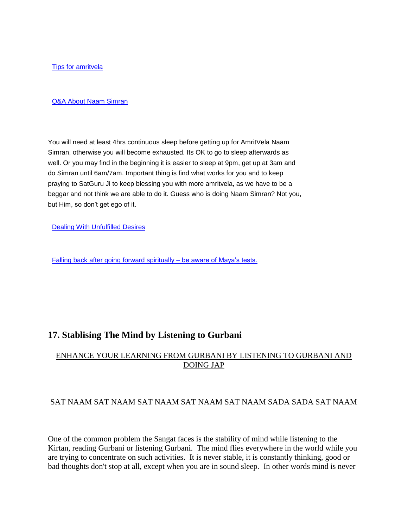[Tips for amritvela](http://satnaam.info/component/content/1152.html?task=view)

#### [Q&A About Naam Simran](http://satnaam.info/component/content/1898.html?task=view)

You will need at least 4hrs continuous sleep before getting up for AmritVela Naam Simran, otherwise you will become exhausted. Its OK to go to sleep afterwards as well. Or you may find in the beginning it is easier to sleep at 9pm, get up at 3am and do Simran until 6am/7am. Important thing is find what works for you and to keep praying to SatGuru Ji to keep blessing you with more amritvela, as we have to be a beggar and not think we are able to do it. Guess who is doing Naam Simran? Not you, but Him, so don't get ego of it.

[Dealing With Unfulfilled Desires](http://satnaam.info/component/content/1881.html?task=view)

[Falling back after going forward spiritually –](http://satnaam.info/component/content/1858.html?task=view) be aware of Maya's tests.

# **17. Stablising The Mind by Listening to Gurbani**

## ENHANCE YOUR LEARNING FROM GURBANI BY LISTENING TO GURBANI AND DOING JAP

### SAT NAAM SAT NAAM SAT NAAM SAT NAAM SAT NAAM SADA SADA SAT NAAM

One of the common problem the Sangat faces is the stability of mind while listening to the Kirtan, reading Gurbani or listening Gurbani. The mind flies everywhere in the world while you are trying to concentrate on such activities. It is never stable, it is constantly thinking, good or bad thoughts don't stop at all, except when you are in sound sleep. In other words mind is never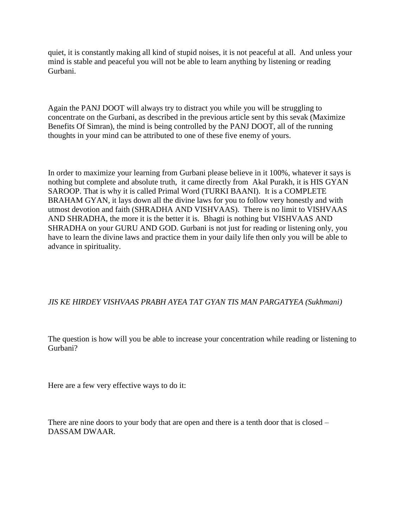quiet, it is constantly making all kind of stupid noises, it is not peaceful at all. And unless your mind is stable and peaceful you will not be able to learn anything by listening or reading Gurbani.

Again the PANJ DOOT will always try to distract you while you will be struggling to concentrate on the Gurbani, as described in the previous article sent by this sevak (Maximize Benefits Of Simran), the mind is being controlled by the PANJ DOOT, all of the running thoughts in your mind can be attributed to one of these five enemy of yours.

In order to maximize your learning from Gurbani please believe in it 100%, whatever it says is nothing but complete and absolute truth, it came directly from Akal Purakh, it is HIS GYAN SAROOP. That is why it is called Primal Word (TURKI BAANI). It is a COMPLETE BRAHAM GYAN, it lays down all the divine laws for you to follow very honestly and with utmost devotion and faith (SHRADHA AND VISHVAAS). There is no limit to VISHVAAS AND SHRADHA, the more it is the better it is. Bhagti is nothing but VISHVAAS AND SHRADHA on your GURU AND GOD. Gurbani is not just for reading or listening only, you have to learn the divine laws and practice them in your daily life then only you will be able to advance in spirituality.

## *JIS KE HIRDEY VISHVAAS PRABH AYEA TAT GYAN TIS MAN PARGATYEA (Sukhmani)*

The question is how will you be able to increase your concentration while reading or listening to Gurbani?

Here are a few very effective ways to do it:

There are nine doors to your body that are open and there is a tenth door that is closed – DASSAM DWAAR.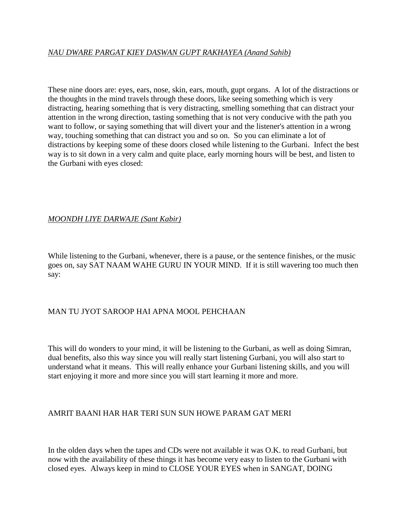## *NAU DWARE PARGAT KIEY DASWAN GUPT RAKHAYEA (Anand Sahib)*

These nine doors are: eyes, ears, nose, skin, ears, mouth, gupt organs. A lot of the distractions or the thoughts in the mind travels through these doors, like seeing something which is very distracting, hearing something that is very distracting, smelling something that can distract your attention in the wrong direction, tasting something that is not very conducive with the path you want to follow, or saying something that will divert your and the listener's attention in a wrong way, touching something that can distract you and so on. So you can eliminate a lot of distractions by keeping some of these doors closed while listening to the Gurbani. Infect the best way is to sit down in a very calm and quite place, early morning hours will be best, and listen to the Gurbani with eyes closed:

### *MOONDH LIYE DARWAJE (Sant Kabir)*

While listening to the Gurbani, whenever, there is a pause, or the sentence finishes, or the music goes on, say SAT NAAM WAHE GURU IN YOUR MIND. If it is still wavering too much then say:

## MAN TU JYOT SAROOP HAI APNA MOOL PEHCHAAN

This will do wonders to your mind, it will be listening to the Gurbani, as well as doing Simran, dual benefits, also this way since you will really start listening Gurbani, you will also start to understand what it means. This will really enhance your Gurbani listening skills, and you will start enjoying it more and more since you will start learning it more and more.

## AMRIT BAANI HAR HAR TERI SUN SUN HOWE PARAM GAT MERI

In the olden days when the tapes and CDs were not available it was O.K. to read Gurbani, but now with the availability of these things it has become very easy to listen to the Gurbani with closed eyes. Always keep in mind to CLOSE YOUR EYES when in SANGAT, DOING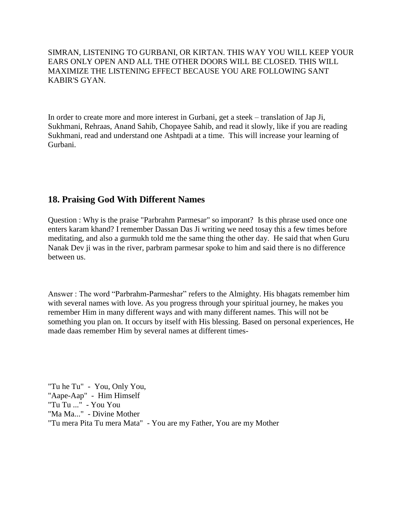SIMRAN, LISTENING TO GURBANI, OR KIRTAN. THIS WAY YOU WILL KEEP YOUR EARS ONLY OPEN AND ALL THE OTHER DOORS WILL BE CLOSED. THIS WILL MAXIMIZE THE LISTENING EFFECT BECAUSE YOU ARE FOLLOWING SANT KABIR'S GYAN.

In order to create more and more interest in Gurbani, get a steek – translation of Jap Ji, Sukhmani, Rehraas, Anand Sahib, Chopayee Sahib, and read it slowly, like if you are reading Sukhmani, read and understand one Ashtpadi at a time. This will increase your learning of Gurbani.

# **18. Praising God With Different Names**

Question : Why is the praise "Parbrahm Parmesar" so imporant? Is this phrase used once one enters karam khand? I remember Dassan Das Ji writing we need tosay this a few times before meditating, and also a gurmukh told me the same thing the other day. He said that when Guru Nanak Dev ji was in the river, parbram parmesar spoke to him and said there is no difference between us.

Answer : The word "Parbrahm-Parmeshar" refers to the Almighty. His bhagats remember him with several names with love. As you progress through your spiritual journey, he makes you remember Him in many different ways and with many different names. This will not be something you plan on. It occurs by itself with His blessing. Based on personal experiences, He made daas remember Him by several names at different times-

"Tu he Tu" - You, Only You, "Aape-Aap" - Him Himself "Tu Tu ..." - You You "Ma Ma..." - Divine Mother "Tu mera Pita Tu mera Mata" - You are my Father, You are my Mother